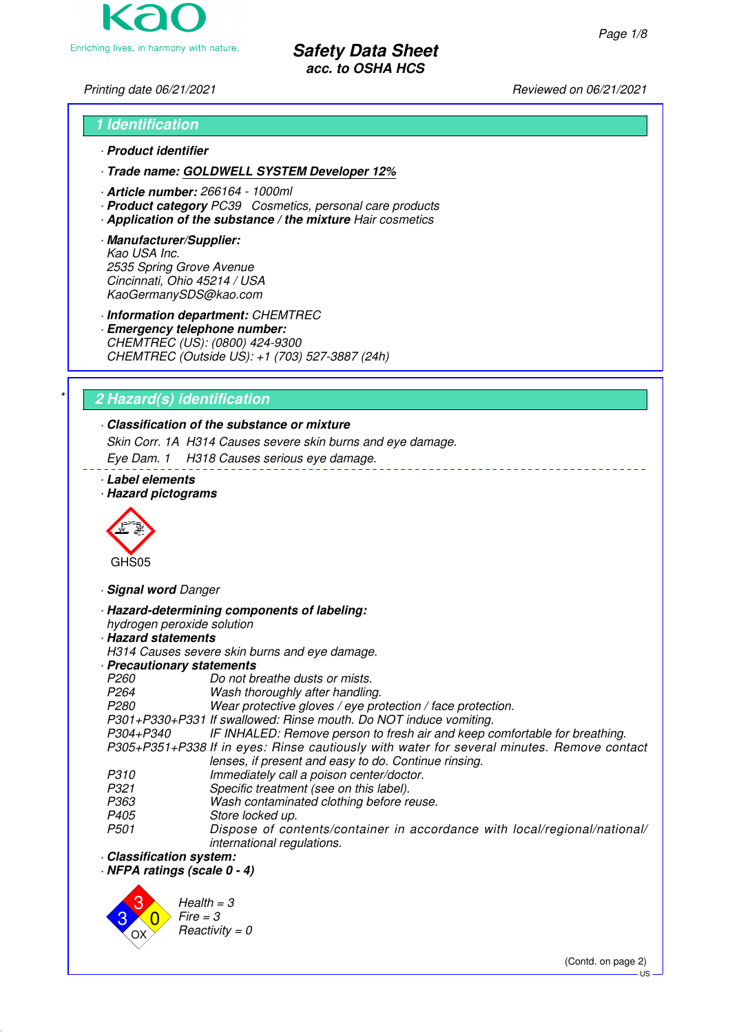Enriching lives, in harmony with nature.

**Safety Data Sheet acc. to OSHA HCS**

Printing date 06/21/2021 **Reviewed on 06/21/2021** 

# **1 Identification** · **Product identifier**

· **Trade name: GOLDWELL SYSTEM Developer 12%**

- · **Article number:** 266164 1000ml
- · **Product category** PC39 Cosmetics, personal care products
- · **Application of the substance / the mixture** Hair cosmetics
- · **Manufacturer/Supplier:** Kao USA Inc. 2535 Spring Grove Avenue Cincinnati, Ohio 45214 / USA KaoGermanySDS@kao.com

· **Information department:** CHEMTREC

· **Emergency telephone number:** CHEMTREC (US): (0800) 424-9300 CHEMTREC (Outside US): +1 (703) 527-3887 (24h)

# \* **2 Hazard(s) identification**

# · **Classification of the substance or mixture**

Skin Corr. 1A H314 Causes severe skin burns and eye damage.

Eye Dam. 1 H318 Causes serious eye damage.

- · **Label elements**
- · **Hazard pictograms**



· **Signal word** Danger

· **Hazard-determining components of labeling:**

hydrogen peroxide solution

# · **Hazard statements**

H314 Causes severe skin burns and eye damage.

- · **Precautionary statements**
- P260 Do not breathe dusts or mists.<br>P264 Wash thoroughly after handling
- P264 Wash thoroughly after handling.<br>P280 Wear protective gloves / eve pro

Wear protective gloves / eye protection / face protection.

P301+P330+P331 If swallowed: Rinse mouth. Do NOT induce vomiting.

IF INHALED: Remove person to fresh air and keep comfortable for breathing. P305+P351+P338 If in eyes: Rinse cautiously with water for several minutes. Remove contact lenses, if present and easy to do. Continue rinsing.

- 
- P310 Immediately call a poison center/doctor.<br>P321 Specific treatment (see on this label).
- P321 Specific treatment (see on this label).<br>P363 Wash contaminated clothing before re-P363 Wash contaminated clothing before reuse.<br>P405 Store locked up.
- 
- P405 Store locked up.<br>P501 Dispose of cor Dispose of contents/container in accordance with local/regional/national/ international regulations.
- · **Classification system:**

· **NFPA ratings (scale 0 - 4)**



(Contd. on page 2)

US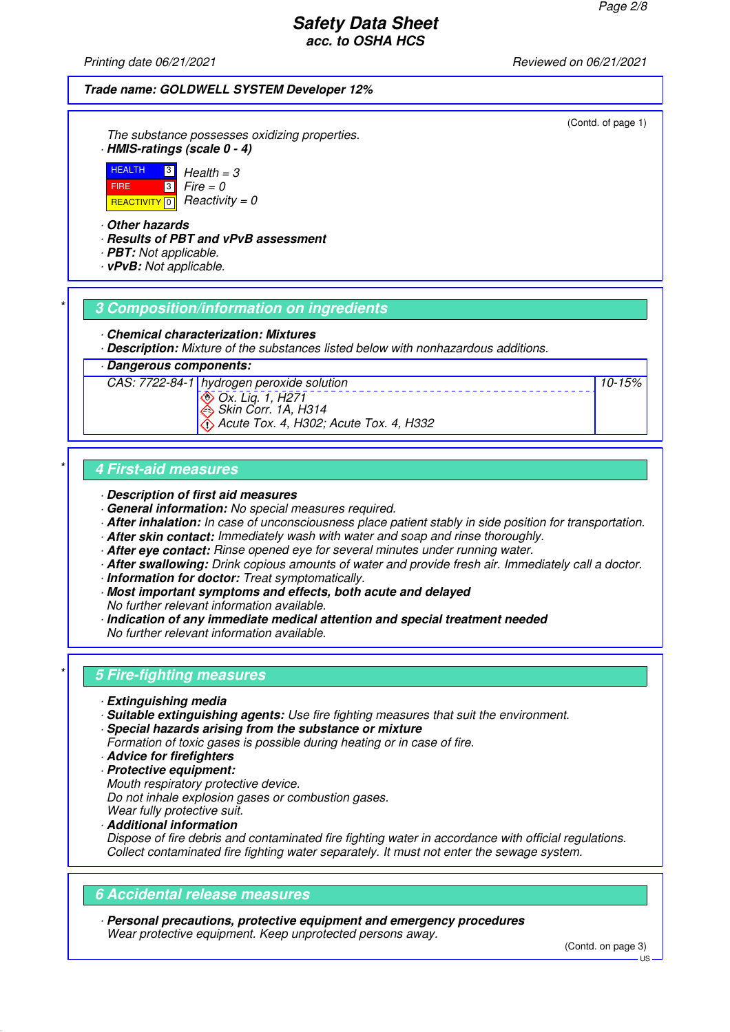Printing date 06/21/2021 **Reviewed on 06/21/2021** 

#### **Trade name: GOLDWELL SYSTEM Developer 12%**

The substance possesses oxidizing properties. · **HMIS-ratings (scale 0 - 4)**



· **Other hazards**

- · **Results of PBT and vPvB assessment**
- · **PBT:** Not applicable.
- · **vPvB:** Not applicable.

#### \* **3 Composition/information on ingredients**

- · **Chemical characterization: Mixtures**
- · **Description:** Mixture of the substances listed below with nonhazardous additions.

#### · **Dangerous components:**



Skin Corr. 1A, H314 Acute Tox. 4, H302; Acute Tox. 4, H332

### \* **4 First-aid measures**

- · **Description of first aid measures**
- · **General information:** No special measures required.
- · **After inhalation:** In case of unconsciousness place patient stably in side position for transportation.
- · **After skin contact:** Immediately wash with water and soap and rinse thoroughly.
- · **After eye contact:** Rinse opened eye for several minutes under running water.
- · **After swallowing:** Drink copious amounts of water and provide fresh air. Immediately call a doctor.
- · **Information for doctor:** Treat symptomatically.
- · **Most important symptoms and effects, both acute and delayed** No further relevant information available.
- · **Indication of any immediate medical attention and special treatment needed** No further relevant information available.

### \* **5 Fire-fighting measures**

- · **Extinguishing media**
- · **Suitable extinguishing agents:** Use fire fighting measures that suit the environment.
- · **Special hazards arising from the substance or mixture**
- Formation of toxic gases is possible during heating or in case of fire.
- · **Advice for firefighters**
- · **Protective equipment:**
- Mouth respiratory protective device.
- Do not inhale explosion gases or combustion gases.
- Wear fully protective suit.
- · **Additional information**

Dispose of fire debris and contaminated fire fighting water in accordance with official regulations. Collect contaminated fire fighting water separately. It must not enter the sewage system.

### **6 Accidental release measures**

· **Personal precautions, protective equipment and emergency procedures** Wear protective equipment. Keep unprotected persons away.

(Contd. on page 3)

(Contd. of page 1)

10-15%

US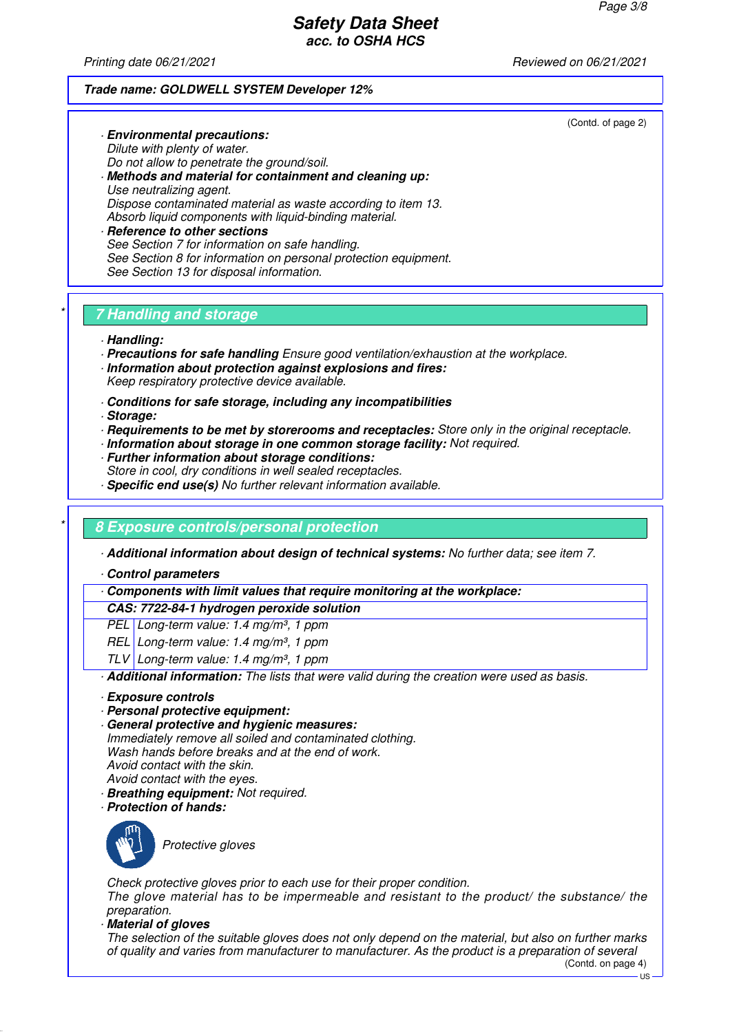Printing date 06/21/2021 **Reviewed on 06/21/2021** 

#### **Trade name: GOLDWELL SYSTEM Developer 12%**

(Contd. of page 2)

Dilute with plenty of water. Do not allow to penetrate the ground/soil. · **Methods and material for containment and cleaning up:** Use neutralizing agent. Dispose contaminated material as waste according to item 13. Absorb liquid components with liquid-binding material. **Reference to other sections** See Section 7 for information on safe handling. See Section 8 for information on personal protection equipment.

## \* **7 Handling and storage**

See Section 13 for disposal information.

· **Environmental precautions:**

- · **Handling:**
- · **Precautions for safe handling** Ensure good ventilation/exhaustion at the workplace.
- · **Information about protection against explosions and fires:** Keep respiratory protective device available.
- · **Conditions for safe storage, including any incompatibilities**
- · **Storage:**
- · **Requirements to be met by storerooms and receptacles:** Store only in the original receptacle.
- · **Information about storage in one common storage facility:** Not required.
- · **Further information about storage conditions:** Store in cool, dry conditions in well sealed receptacles.
- · **Specific end use(s)** No further relevant information available.

# \* **8 Exposure controls/personal protection**

· **Additional information about design of technical systems:** No further data; see item 7.

· **Control parameters**

· **Components with limit values that require monitoring at the workplace:**

#### **CAS: 7722-84-1 hydrogen peroxide solution**

PEL Long-term value: 1.4 mg/m<sup>3</sup>, 1 ppm

- REL Long-term value: 1.4 mg/m<sup>3</sup>, 1 ppm
- TLV Long-term value: 1.4 mg/m<sup>3</sup>, 1 ppm

· **Additional information:** The lists that were valid during the creation were used as basis.

- · **Exposure controls**
- · **Personal protective equipment:**
- · **General protective and hygienic measures:**

Immediately remove all soiled and contaminated clothing. Wash hands before breaks and at the end of work. Avoid contact with the skin. Avoid contact with the eyes.

- · **Breathing equipment:** Not required.
- · **Protection of hands:**



Protective gloves

Check protective gloves prior to each use for their proper condition. The glove material has to be impermeable and resistant to the product/ the substance/ the preparation.

· **Material of gloves**

The selection of the suitable gloves does not only depend on the material, but also on further marks of quality and varies from manufacturer to manufacturer. As the product is a preparation of several

(Contd. on page 4)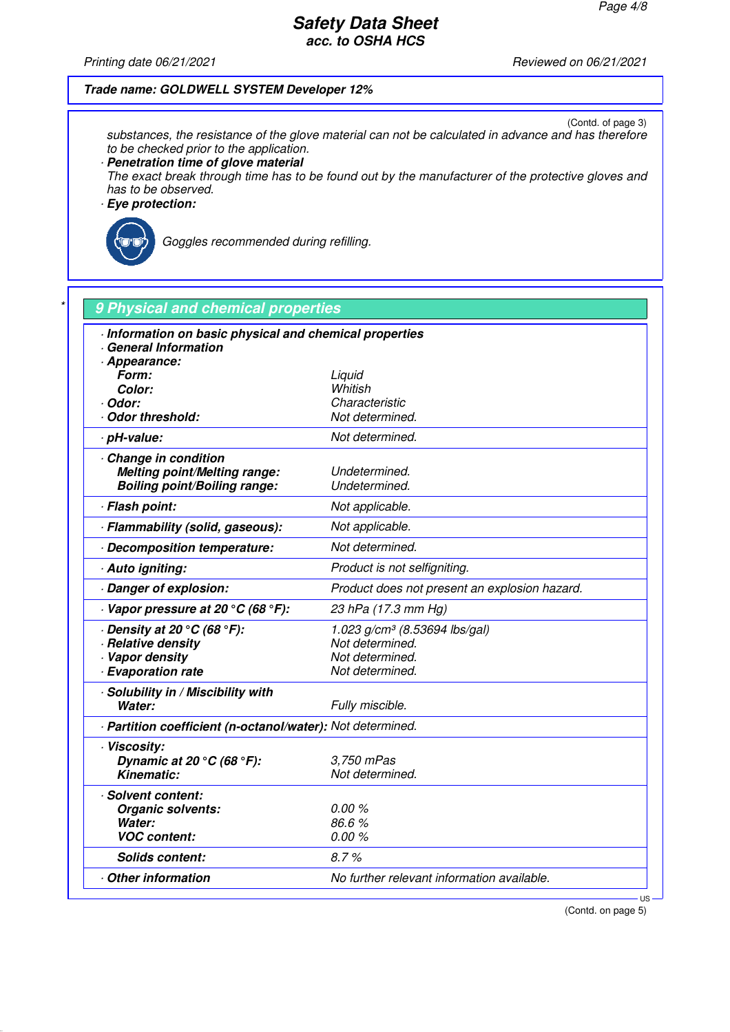Printing date 06/21/2021 Reviewed on 06/21/2021

#### **Trade name: GOLDWELL SYSTEM Developer 12%**

(Contd. of page 3) substances, the resistance of the glove material can not be calculated in advance and has therefore to be checked prior to the application.

· **Penetration time of glove material**

The exact break through time has to be found out by the manufacturer of the protective gloves and has to be observed.

· **Eye protection:**



Goggles recommended during refilling.

| Information on basic physical and chemical properties<br>General Information |                                               |
|------------------------------------------------------------------------------|-----------------------------------------------|
| - Appearance:                                                                |                                               |
| Form:                                                                        | Liquid                                        |
| Color:                                                                       | Whitish                                       |
| · Odor:                                                                      | Characteristic                                |
| Odor threshold:                                                              | Not determined.                               |
| · pH-value:                                                                  | Not determined.                               |
| Change in condition                                                          |                                               |
| <b>Melting point/Melting range:</b>                                          | Undetermined.                                 |
| <b>Boiling point/Boiling range:</b>                                          | Undetermined.                                 |
| · Flash point:                                                               | Not applicable.                               |
| · Flammability (solid, gaseous):                                             | Not applicable.                               |
| Decomposition temperature:                                                   | Not determined.                               |
| · Auto igniting:                                                             | Product is not selfigniting.                  |
| Danger of explosion:                                                         | Product does not present an explosion hazard. |
| $\cdot$ Vapor pressure at 20 °C (68 °F):                                     | 23 hPa (17.3 mm Hg)                           |
| $\cdot$ Density at 20 $\rm{^{\circ}C}$ (68 $\rm{^{\circ}F}$ ):               | 1.023 $g/cm^3$ (8.53694 lbs/gal)              |
| · Relative density                                                           | Not determined.                               |
| · Vapor density                                                              | Not determined.                               |
| · Evaporation rate                                                           | Not determined.                               |
| · Solubility in / Miscibility with                                           |                                               |
| Water:                                                                       | Fully miscible.                               |
| - Partition coefficient (n-octanol/water): Not determined.                   |                                               |
| · Viscosity:                                                                 |                                               |
| Dynamic at 20 $\degree$ C (68 $\degree$ F):<br><b>Kinematic:</b>             | 3,750 mPas<br>Not determined.                 |
|                                                                              |                                               |
| · Solvent content:                                                           |                                               |
| Organic solvents:                                                            | 0.00%                                         |
| Water:<br><b>VOC content:</b>                                                | 86.6%<br>0.00%                                |
|                                                                              |                                               |
| <b>Solids content:</b>                                                       | 8.7%                                          |
| Other information                                                            | No further relevant information available.    |

(Contd. on page 5)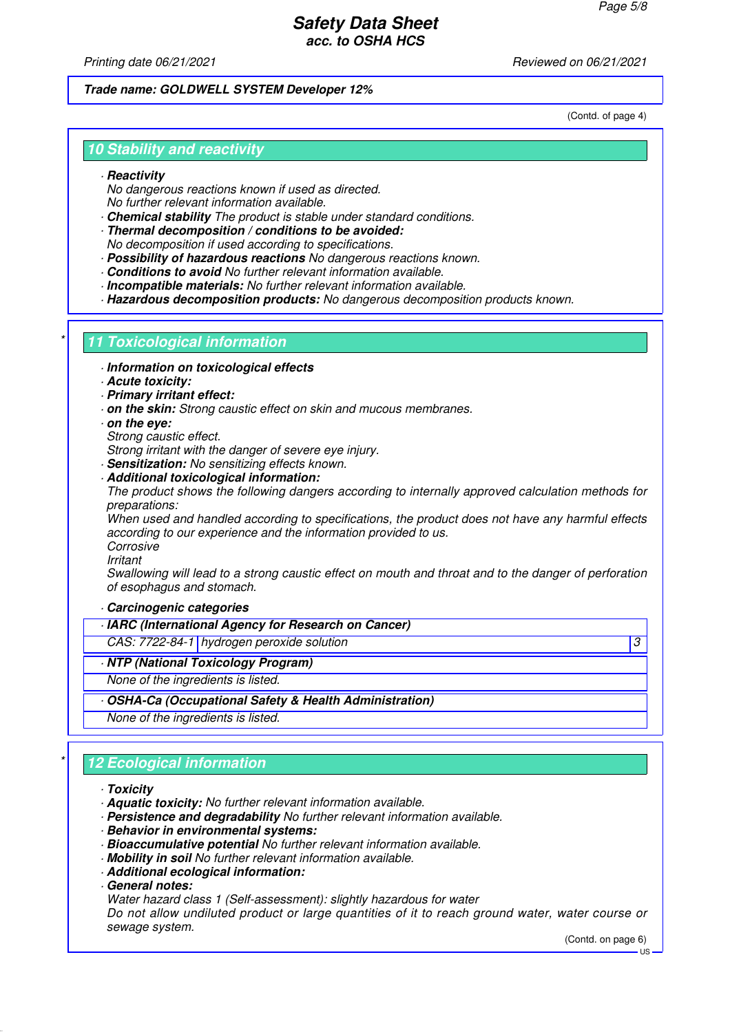Printing date 06/21/2021 **Reviewed on 06/21/2021** 

### **Trade name: GOLDWELL SYSTEM Developer 12%**

(Contd. of page 4)

## **10 Stability and reactivity**

#### · **Reactivity**

No dangerous reactions known if used as directed. No further relevant information available.

- · **Chemical stability** The product is stable under standard conditions.
- · **Thermal decomposition / conditions to be avoided:** No decomposition if used according to specifications.
- · **Possibility of hazardous reactions** No dangerous reactions known.
- · **Conditions to avoid** No further relevant information available.
- · **Incompatible materials:** No further relevant information available.
- · **Hazardous decomposition products:** No dangerous decomposition products known.

### **11 Toxicological information**

- · **Information on toxicological effects**
- · **Acute toxicity:**
- · **Primary irritant effect:**
- · **on the skin:** Strong caustic effect on skin and mucous membranes.
- · **on the eye:**
- Strong caustic effect.
- Strong irritant with the danger of severe eve injury.
- · **Sensitization:** No sensitizing effects known.

#### · **Additional toxicological information:**

The product shows the following dangers according to internally approved calculation methods for preparations:

When used and handled according to specifications, the product does not have any harmful effects according to our experience and the information provided to us.

Corrosive

Irritant

Swallowing will lead to a strong caustic effect on mouth and throat and to the danger of perforation of esophagus and stomach.

#### · **Carcinogenic categories**

- · **IARC (International Agency for Research on Cancer)**
- CAS: 7722-84-1 hydrogen peroxide solution 3
- · **NTP (National Toxicology Program)**
- None of the ingredients is listed.
- · **OSHA-Ca (Occupational Safety & Health Administration)**

None of the ingredients is listed.

# **12 Ecological information**

#### · **Toxicity**

- · **Aquatic toxicity:** No further relevant information available.
- · **Persistence and degradability** No further relevant information available.
- · **Behavior in environmental systems:**
- · **Bioaccumulative potential** No further relevant information available.
- · **Mobility in soil** No further relevant information available.
- · **Additional ecological information:**
- · **General notes:**
- Water hazard class 1 (Self-assessment): slightly hazardous for water

Do not allow undiluted product or large quantities of it to reach ground water, water course or sewage system.

(Contd. on page 6)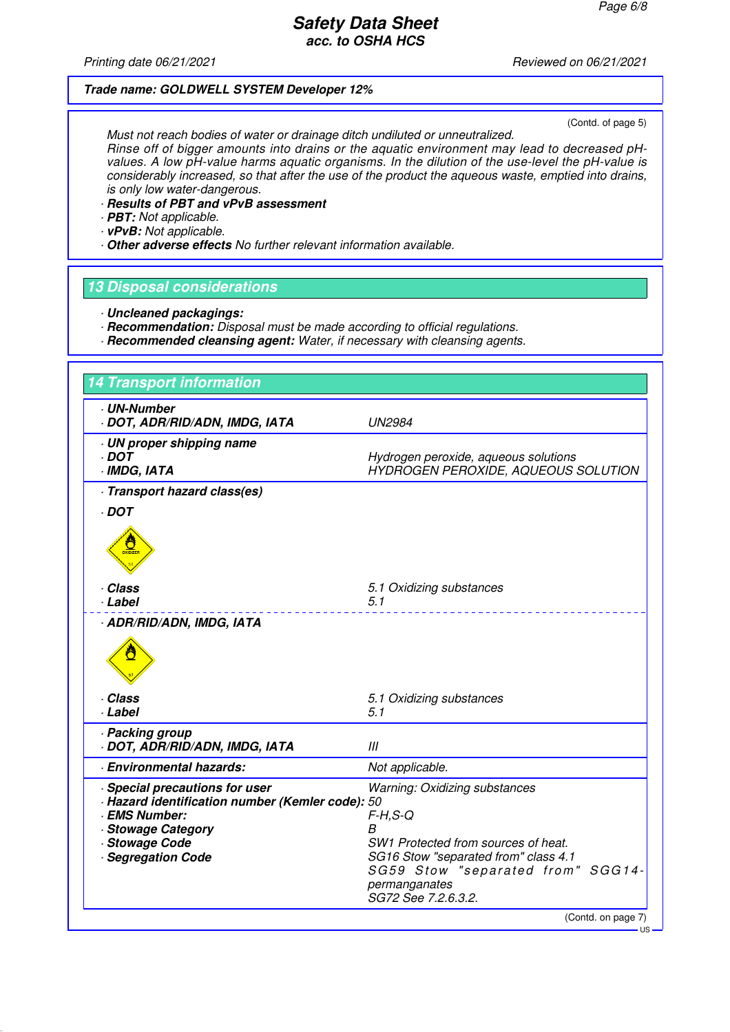Printing date 06/21/2021 **Printing date 06/21/2021** 

#### **Trade name: GOLDWELL SYSTEM Developer 12%**

(Contd. of page 5)

Must not reach bodies of water or drainage ditch undiluted or unneutralized. Rinse off of bigger amounts into drains or the aquatic environment may lead to decreased pHvalues. A low pH-value harms aquatic organisms. In the dilution of the use-level the pH-value is considerably increased, so that after the use of the product the aqueous waste, emptied into drains, is only low water-dangerous.

- · **Results of PBT and vPvB assessment**
- · **PBT:** Not applicable.
- · **vPvB:** Not applicable.
- · **Other adverse effects** No further relevant information available.

#### **13 Disposal considerations**

- · **Uncleaned packagings:**
- · **Recommendation:** Disposal must be made according to official regulations.
- · **Recommended cleansing agent:** Water, if necessary with cleansing agents.

| <b>14 Transport information</b>                                                                                                                                           |                                                                                                                                                                                                                     |
|---------------------------------------------------------------------------------------------------------------------------------------------------------------------------|---------------------------------------------------------------------------------------------------------------------------------------------------------------------------------------------------------------------|
| <b>UN-Number</b><br>· DOT, ADR/RID/ADN, IMDG, IATA                                                                                                                        | <b>UN2984</b>                                                                                                                                                                                                       |
| · UN proper shipping name<br>$\cdot$ DOT<br>· IMDG, IATA                                                                                                                  | Hydrogen peroxide, aqueous solutions<br>HYDROGEN PEROXIDE, AQUEOUS SOLUTION                                                                                                                                         |
| · Transport hazard class(es)                                                                                                                                              |                                                                                                                                                                                                                     |
| $\cdot$ DOT<br><b>OXIDIZER</b>                                                                                                                                            |                                                                                                                                                                                                                     |
| . Class<br>· Label                                                                                                                                                        | 5.1 Oxidizing substances<br>5.1                                                                                                                                                                                     |
| · ADR/RID/ADN, IMDG, IATA                                                                                                                                                 |                                                                                                                                                                                                                     |
| · Class<br>· Label                                                                                                                                                        | 5.1 Oxidizing substances<br>5.1                                                                                                                                                                                     |
| · Packing group<br>· DOT, ADR/RID/ADN, IMDG, IATA                                                                                                                         | III                                                                                                                                                                                                                 |
| · Environmental hazards:                                                                                                                                                  | Not applicable.                                                                                                                                                                                                     |
| Special precautions for user<br>- Hazard identification number (Kemler code): 50<br><b>EMS Number:</b><br>· Stowage Category<br>· Stowage Code<br><b>Segregation Code</b> | <b>Warning: Oxidizing substances</b><br>$F-H, S-Q$<br>B<br>SW1 Protected from sources of heat.<br>SG16 Stow "separated from" class 4.1<br>SG59 Stow "separated from" SGG14-<br>permanganates<br>SG72 See 7.2.6.3.2. |

US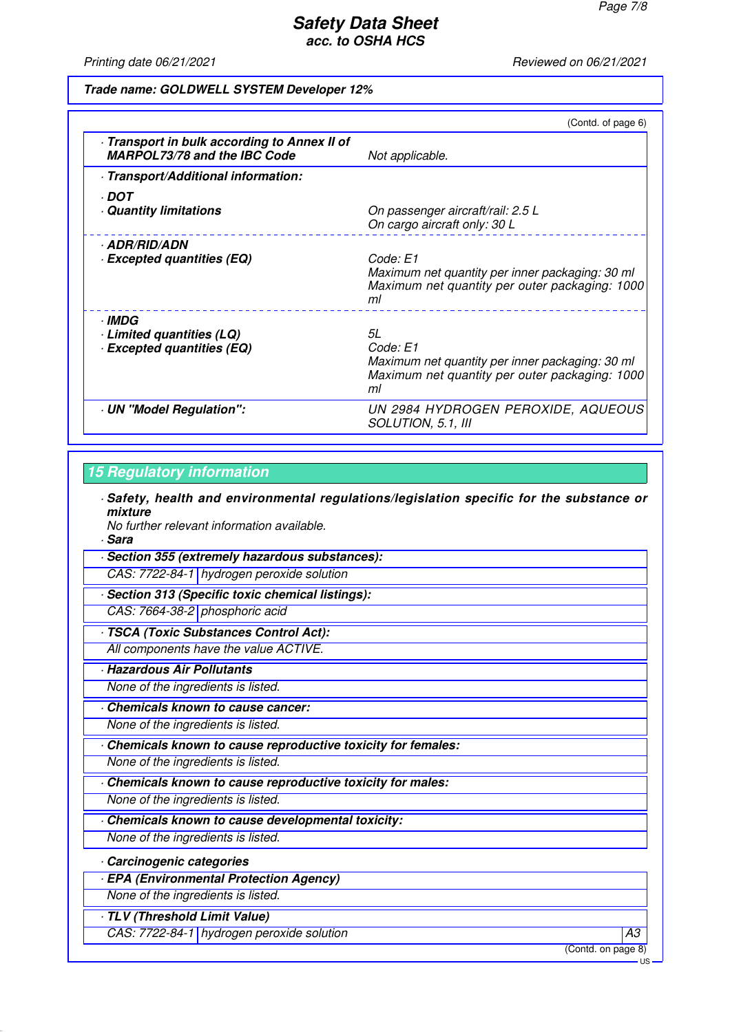Printing date 06/21/2021 **Printing date 06/21/2021** 

#### **Trade name: GOLDWELL SYSTEM Developer 12%**

|                                                                                   | (Contd. of page 6)                                                                                                        |
|-----------------------------------------------------------------------------------|---------------------------------------------------------------------------------------------------------------------------|
| Transport in bulk according to Annex II of<br><b>MARPOL73/78 and the IBC Code</b> | Not applicable.                                                                                                           |
| · Transport/Additional information:                                               |                                                                                                                           |
| · DOT<br><b>Quantity limitations</b>                                              | On passenger aircraft/rail: 2.5 L<br>On cargo aircraft only: 30 L                                                         |
| · ADR/RID/ADN<br><b>Excepted quantities (EQ)</b>                                  | Code: E1<br>Maximum net quantity per inner packaging: 30 ml<br>Maximum net quantity per outer packaging: 1000<br>ml       |
| · IMDG<br>Limited quantities (LQ)<br><b>Excepted quantities (EQ)</b>              | 5L<br>Code: E1<br>Maximum net quantity per inner packaging: 30 ml<br>Maximum net quantity per outer packaging: 1000<br>ml |
| · UN "Model Regulation":                                                          | UN 2984 HYDROGEN PEROXIDE, AQUEOUS<br>SOLUTION, 5.1, III                                                                  |

#### **15 Regulatory information**

· **Safety, health and environmental regulations/legislation specific for the substance or mixture**

No further relevant information available.

· **Sara**

· **Section 355 (extremely hazardous substances):** CAS: 7722-84-1 hydrogen peroxide solution

· **Section 313 (Specific toxic chemical listings):**

CAS: 7664-38-2 phosphoric acid

· **TSCA (Toxic Substances Control Act):**

All components have the value ACTIVE.

· **Hazardous Air Pollutants**

None of the ingredients is listed.

· **Chemicals known to cause cancer:**

None of the ingredients is listed.

· **Chemicals known to cause reproductive toxicity for females:**

None of the ingredients is listed.

· **Chemicals known to cause reproductive toxicity for males:**

None of the ingredients is listed.

· **Chemicals known to cause developmental toxicity:**

None of the ingredients is listed.

#### · **Carcinogenic categories**

· **EPA (Environmental Protection Agency)**

None of the ingredients is listed.

· **TLV (Threshold Limit Value)**

CAS: 7722-84-1 | hydrogen peroxide solution A3

(Contd. on page 8)

US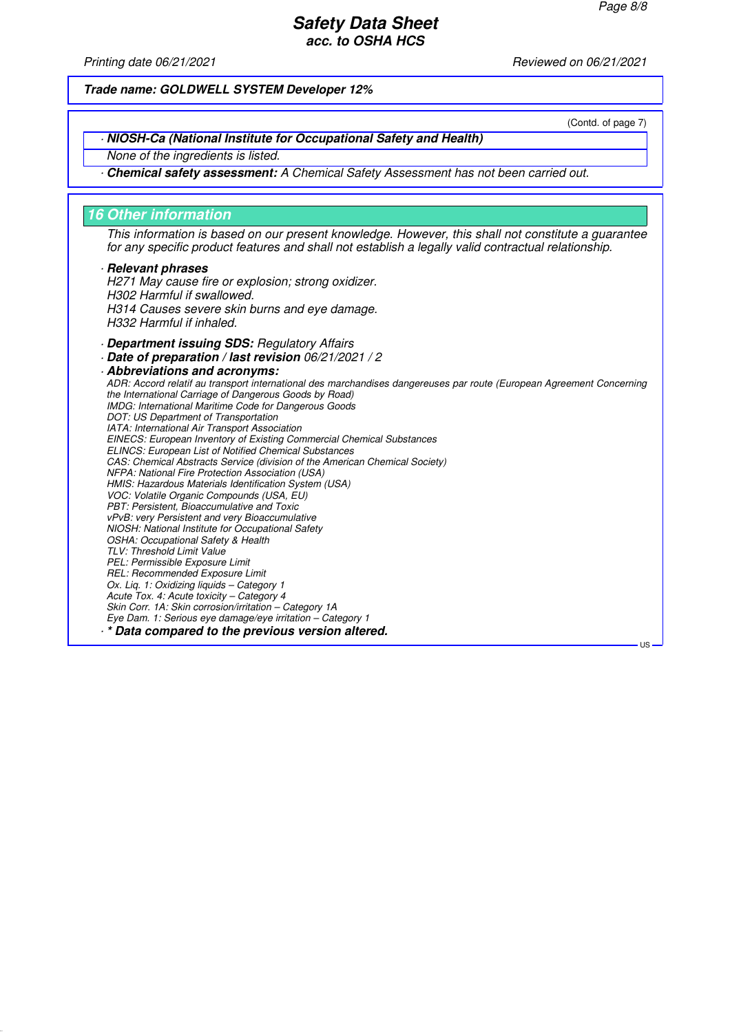(Contd. of page 7)

US

## **Safety Data Sheet acc. to OSHA HCS**

Printing date 06/21/2021 **Reviewed on 06/21/2021** 

**Trade name: GOLDWELL SYSTEM Developer 12%**

· **NIOSH-Ca (National Institute for Occupational Safety and Health)**

None of the ingredients is listed.

· **Chemical safety assessment:** A Chemical Safety Assessment has not been carried out.

#### **16 Other information**

This information is based on our present knowledge. However, this shall not constitute a guarantee for any specific product features and shall not establish a legally valid contractual relationship.

#### · **Relevant phrases**

H271 May cause fire or explosion; strong oxidizer. H302 Harmful if swallowed. H314 Causes severe skin burns and eye damage. H332 Harmful if inhaled.

· **Department issuing SDS:** Regulatory Affairs

· **Date of preparation / last revision** 06/21/2021 / 2

· **Abbreviations and acronyms:** ADR: Accord relatif au transport international des marchandises dangereuses par route (European Agreement Concerning the International Carriage of Dangerous Goods by Road) IMDG: International Maritime Code for Dangerous Goods DOT: US Department of Transportation IATA: International Air Transport Association EINECS: European Inventory of Existing Commercial Chemical Substances ELINCS: European List of Notified Chemical Substances CAS: Chemical Abstracts Service (division of the American Chemical Society) NFPA: National Fire Protection Association (USA) HMIS: Hazardous Materials Identification System (USA) VOC: Volatile Organic Compounds (USA, EU) PBT: Persistent, Bioaccumulative and Toxic vPvB: very Persistent and very Bioaccumulative NIOSH: National Institute for Occupational Safety OSHA: Occupational Safety & Health TLV: Threshold Limit Value PEL: Permissible Exposure Limit REL: Recommended Exposure Limit Ox. Lig. 1: Oxidizing liquids - Category 1 Acute Tox. 4: Acute toxicity – Category 4 Skin Corr. 1A: Skin corrosion/irritation – Category 1A Eye Dam. 1: Serious eye damage/eye irritation – Category 1 · **\* Data compared to the previous version altered.**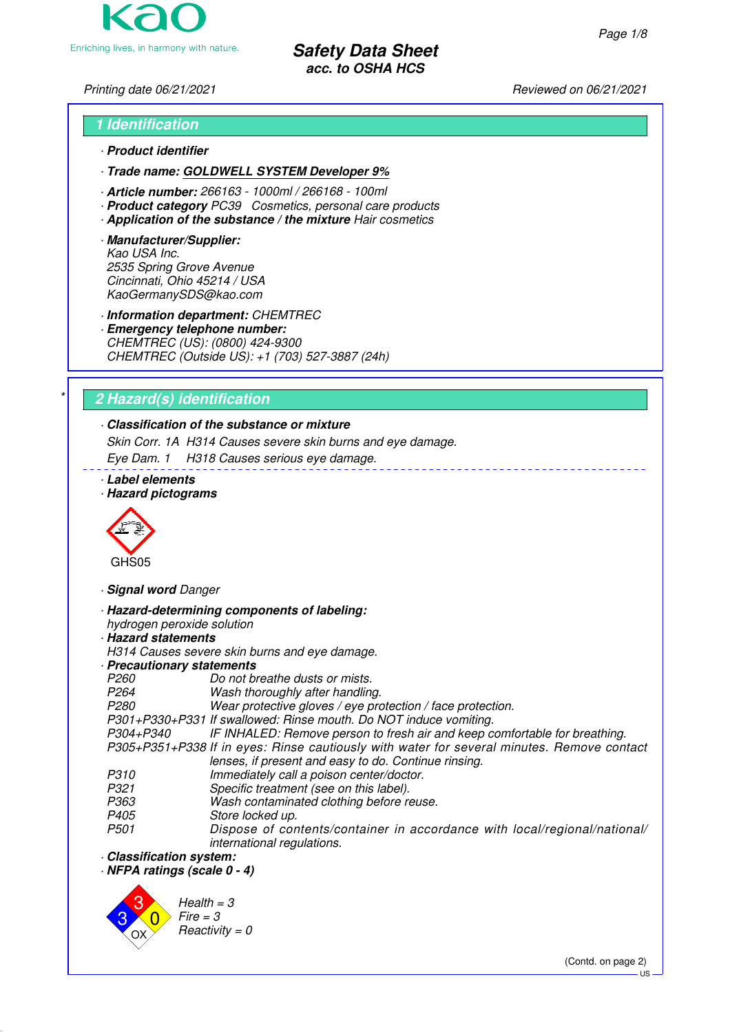Enriching lives, in harmony with nature.

**Safety Data Sheet acc. to OSHA HCS**

# Printing date 06/21/2021 **Reviewed on 06/21/2021**

# **1 Identification** · **Product identifier**

- · **Trade name: GOLDWELL SYSTEM Developer 9%**
- · **Article number:** 266163 1000ml / 266168 100ml
- · **Product category** PC39 Cosmetics, personal care products
- · **Application of the substance / the mixture** Hair cosmetics
- · **Manufacturer/Supplier:** Kao USA Inc. 2535 Spring Grove Avenue Cincinnati, Ohio 45214 / USA KaoGermanySDS@kao.com

· **Information department:** CHEMTREC

· **Emergency telephone number:** CHEMTREC (US): (0800) 424-9300 CHEMTREC (Outside US): +1 (703) 527-3887 (24h)

# \* **2 Hazard(s) identification**

# · **Classification of the substance or mixture**

Skin Corr. 1A H314 Causes severe skin burns and eye damage.

Eye Dam. 1 H318 Causes serious eye damage.

- · **Label elements**
- · **Hazard pictograms**



· **Signal word** Danger

· **Hazard-determining components of labeling:**

hydrogen peroxide solution

# · **Hazard statements**

H314 Causes severe skin burns and eye damage.

- · **Precautionary statements**
- P260 Do not breathe dusts or mists.<br>P264 Wash thoroughly after handling
- P264 Wash thoroughly after handling.<br>P280 Wear protective gloves / eve pro

Wear protective gloves / eye protection / face protection.

P301+P330+P331 If swallowed: Rinse mouth. Do NOT induce vomiting.

IF INHALED: Remove person to fresh air and keep comfortable for breathing. P305+P351+P338 If in eyes: Rinse cautiously with water for several minutes. Remove contact lenses, if present and easy to do. Continue rinsing.

- 
- P310 Immediately call a poison center/doctor.<br>P321 Specific treatment (see on this label). P321 Specific treatment (see on this label).<br>P363 Wash contaminated clothing before re-
- P363 Wash contaminated clothing before reuse.<br>P405 Store locked up.
- P405 Store locked up.<br>P501 Dispose of cor
- Dispose of contents/container in accordance with local/regional/national/ international regulations.
- · **Classification system:**

· **NFPA ratings (scale 0 - 4)**



(Contd. on page 2)

US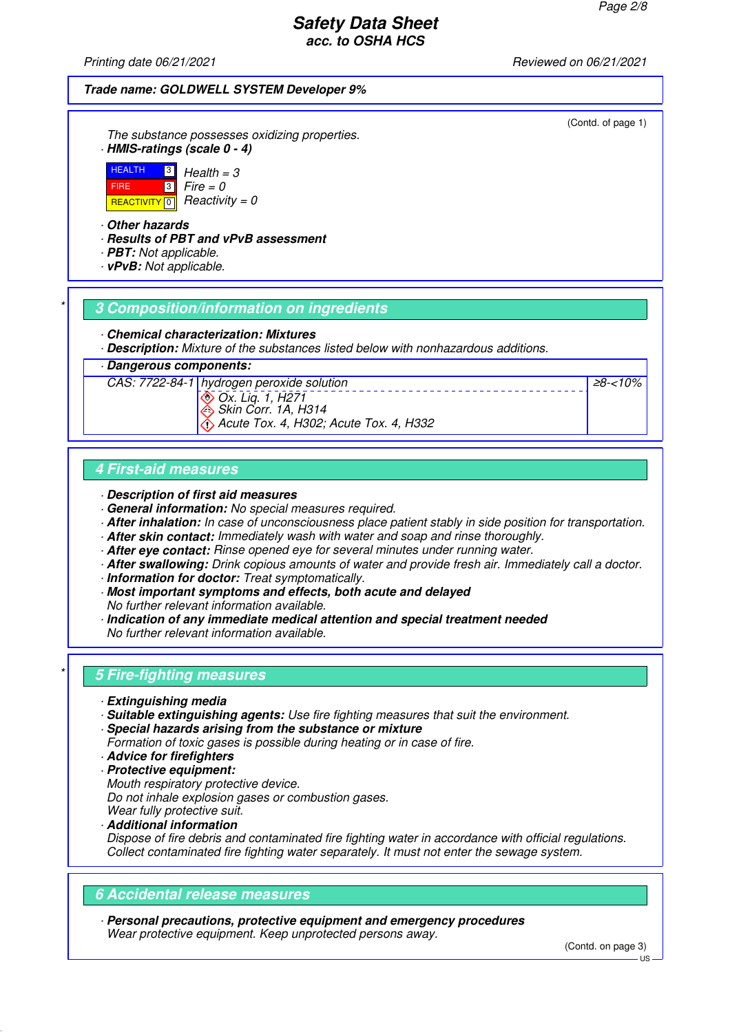≥8-<10%

# **Safety Data Sheet acc. to OSHA HCS**

Printing date 06/21/2021 **Reviewed on 06/21/2021** 

#### **Trade name: GOLDWELL SYSTEM Developer 9%**

The substance possesses oxidizing properties. · **HMIS-ratings (scale 0 - 4)**



· **Other hazards**

- · **Results of PBT and vPvB assessment**
- · **PBT:** Not applicable.
- · **vPvB:** Not applicable.

#### \* **3 Composition/information on ingredients**

- · **Chemical characterization: Mixtures**
- · **Description:** Mixture of the substances listed below with nonhazardous additions.

#### · **Dangerous components:**



### **4 First-aid measures**

- · **Description of first aid measures**
- · **General information:** No special measures required.
- · **After inhalation:** In case of unconsciousness place patient stably in side position for transportation.
- · **After skin contact:** Immediately wash with water and soap and rinse thoroughly.
- · **After eye contact:** Rinse opened eye for several minutes under running water.
- · **After swallowing:** Drink copious amounts of water and provide fresh air. Immediately call a doctor.
- · **Information for doctor:** Treat symptomatically.
- · **Most important symptoms and effects, both acute and delayed** No further relevant information available.
- · **Indication of any immediate medical attention and special treatment needed** No further relevant information available.

### \* **5 Fire-fighting measures**

- · **Extinguishing media**
- · **Suitable extinguishing agents:** Use fire fighting measures that suit the environment.
- · **Special hazards arising from the substance or mixture**
- Formation of toxic gases is possible during heating or in case of fire.
- · **Advice for firefighters**
- · **Protective equipment:**
- Mouth respiratory protective device.

Do not inhale explosion gases or combustion gases.

- Wear fully protective suit. · **Additional information**
- Dispose of fire debris and contaminated fire fighting water in accordance with official regulations. Collect contaminated fire fighting water separately. It must not enter the sewage system.

# **6 Accidental release measures**

· **Personal precautions, protective equipment and emergency procedures** Wear protective equipment. Keep unprotected persons away.

(Contd. on page 3)

(Contd. of page 1)

US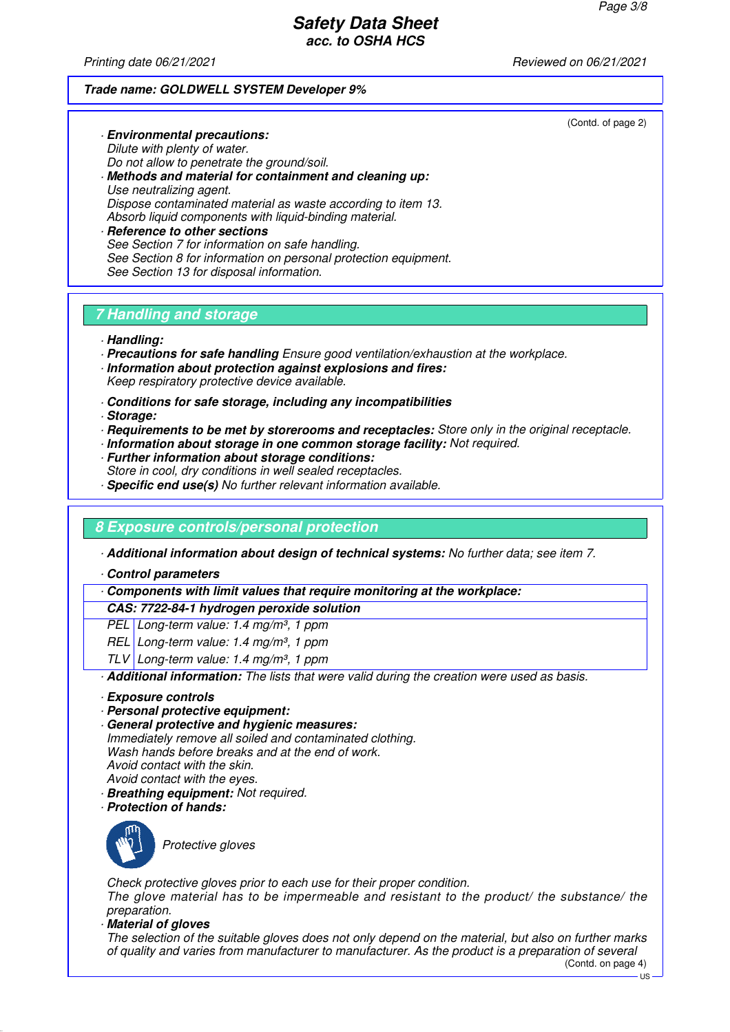Printing date 06/21/2021 **Reviewed on 06/21/2021** 

#### **Trade name: GOLDWELL SYSTEM Developer 9%**

(Contd. of page 2)

Dilute with plenty of water. Do not allow to penetrate the ground/soil. · **Methods and material for containment and cleaning up:** Use neutralizing agent. Dispose contaminated material as waste according to item 13. Absorb liquid components with liquid-binding material. · **Reference to other sections** See Section 7 for information on safe handling. See Section 8 for information on personal protection equipment.

# **7 Handling and storage**

See Section 13 for disposal information.

· **Environmental precautions:**

- · **Handling:**
- · **Precautions for safe handling** Ensure good ventilation/exhaustion at the workplace.
- · **Information about protection against explosions and fires:** Keep respiratory protective device available.
- · **Conditions for safe storage, including any incompatibilities**
- · **Storage:**
- · **Requirements to be met by storerooms and receptacles:** Store only in the original receptacle.
- · **Information about storage in one common storage facility:** Not required.
- · **Further information about storage conditions:** Store in cool, dry conditions in well sealed receptacles.
- · **Specific end use(s)** No further relevant information available.

# **8 Exposure controls/personal protection**

· **Additional information about design of technical systems:** No further data; see item 7.

· **Control parameters**

· **Components with limit values that require monitoring at the workplace:**

#### **CAS: 7722-84-1 hydrogen peroxide solution**

PEL Long-term value: 1.4 mg/m<sup>3</sup>, 1 ppm

- REL Long-term value: 1.4 mg/m<sup>3</sup>, 1 ppm
- TLV Long-term value: 1.4 mg/m<sup>3</sup>, 1 ppm

· **Additional information:** The lists that were valid during the creation were used as basis.

- · **Exposure controls**
- · **Personal protective equipment:**
- · **General protective and hygienic measures:** Immediately remove all soiled and contaminated clothing.

Wash hands before breaks and at the end of work. Avoid contact with the skin. Avoid contact with the eyes.

- · **Breathing equipment:** Not required.
- · **Protection of hands:**



Protective gloves

Check protective gloves prior to each use for their proper condition. The glove material has to be impermeable and resistant to the product/ the substance/ the preparation.

· **Material of gloves**

The selection of the suitable gloves does not only depend on the material, but also on further marks of quality and varies from manufacturer to manufacturer. As the product is a preparation of several

(Contd. on page 4)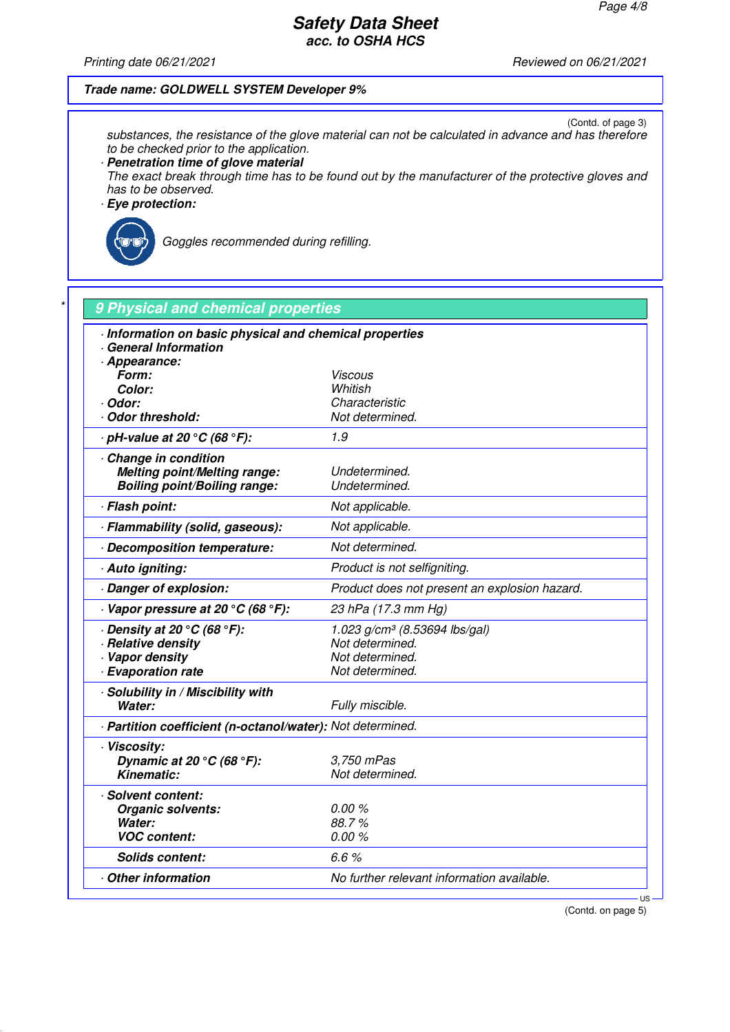Printing date 06/21/2021 Reviewed on 06/21/2021

#### **Trade name: GOLDWELL SYSTEM Developer 9%**

(Contd. of page 3) substances, the resistance of the glove material can not be calculated in advance and has therefore to be checked prior to the application.

· **Penetration time of glove material**

The exact break through time has to be found out by the manufacturer of the protective gloves and has to be observed.

· **Eye protection:**



Goggles recommended during refilling.

| Information on basic physical and chemical properties<br>General Information |                                               |
|------------------------------------------------------------------------------|-----------------------------------------------|
| · Appearance:<br>Form:                                                       | Viscous                                       |
| Color:                                                                       | Whitish                                       |
| · Odor:                                                                      | Characteristic                                |
| Odor threshold:                                                              | Not determined.                               |
| $\cdot$ pH-value at 20 $^{\circ}$ C (68 $^{\circ}$ F):                       | 1.9                                           |
| Change in condition                                                          |                                               |
| <b>Melting point/Melting range:</b>                                          | Undetermined.                                 |
| <b>Boiling point/Boiling range:</b>                                          | Undetermined.                                 |
| · Flash point:                                                               | Not applicable.                               |
| · Flammability (solid, gaseous):                                             | Not applicable.                               |
| Decomposition temperature:                                                   | Not determined.                               |
| · Auto igniting:                                                             | Product is not selfigniting.                  |
| Danger of explosion:                                                         | Product does not present an explosion hazard. |
| $\cdot$ Vapor pressure at 20 °C (68 °F):                                     | 23 hPa (17.3 mm Hg)                           |
| $\cdot$ Density at 20 $\rm{^{\circ}C}$ (68 $\rm{^{\circ}F}$ ):               | 1.023 $g/cm^3$ (8.53694 lbs/gal)              |
| · Relative density                                                           | Not determined.                               |
| · Vapor density                                                              | Not determined.                               |
| · Evaporation rate                                                           | Not determined.                               |
| · Solubility in / Miscibility with                                           |                                               |
| Water:                                                                       | Fully miscible.                               |
| - Partition coefficient (n-octanol/water): Not determined.                   |                                               |
| · Viscosity:                                                                 |                                               |
| Dynamic at 20 $\degree$ C (68 $\degree$ F):                                  | 3,750 mPas                                    |
| <b>Kinematic:</b>                                                            | Not determined.                               |
| · Solvent content:                                                           |                                               |
| Organic solvents:                                                            | 0.00 %                                        |
| Water:                                                                       | 88.7%                                         |
| <b>VOC content:</b>                                                          | 0.00%                                         |
| <b>Solids content:</b>                                                       | 6.6%                                          |
| Other information                                                            | No further relevant information available.    |

(Contd. on page 5)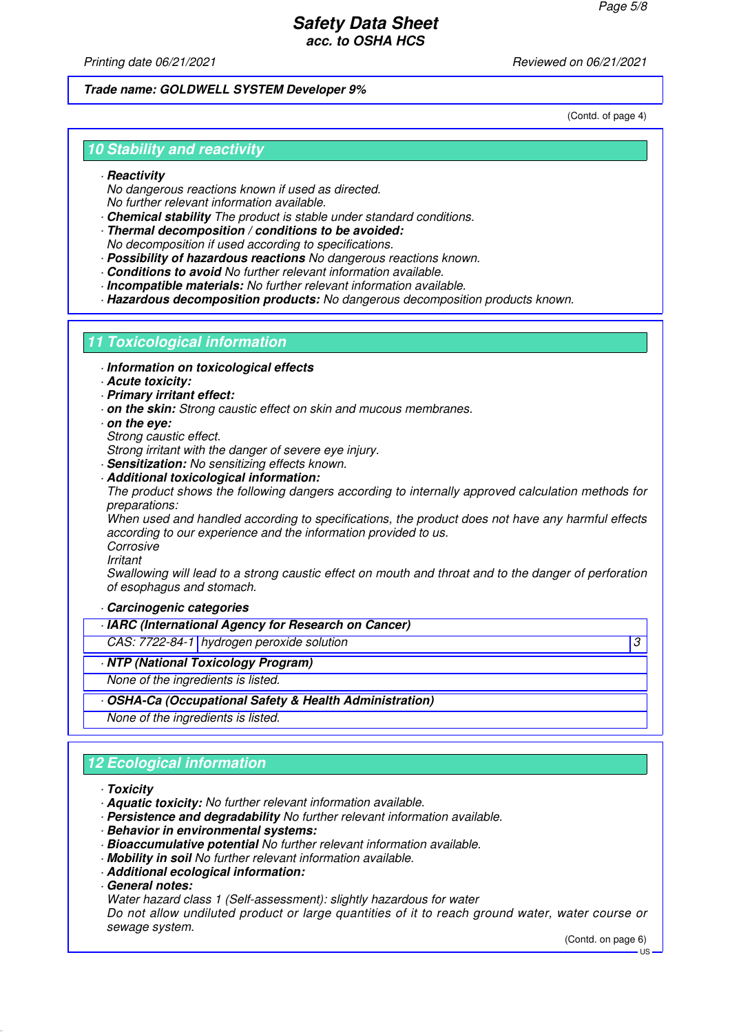Printing date 06/21/2021 **Reviewed on 06/21/2021** 

#### **Trade name: GOLDWELL SYSTEM Developer 9%**

(Contd. of page 4)

## **10 Stability and reactivity**

#### · **Reactivity**

No dangerous reactions known if used as directed. No further relevant information available.

- · **Chemical stability** The product is stable under standard conditions.
- · **Thermal decomposition / conditions to be avoided:** No decomposition if used according to specifications.
- · **Possibility of hazardous reactions** No dangerous reactions known.
- · **Conditions to avoid** No further relevant information available.
- · **Incompatible materials:** No further relevant information available.

· **Hazardous decomposition products:** No dangerous decomposition products known.

### **11 Toxicological information**

- · **Information on toxicological effects**
- · **Acute toxicity:**
- · **Primary irritant effect:**
- · **on the skin:** Strong caustic effect on skin and mucous membranes.
- · **on the eye:**
- Strong caustic effect.
- Strong irritant with the danger of severe eve injury.
- · **Sensitization:** No sensitizing effects known.

#### · **Additional toxicological information:**

The product shows the following dangers according to internally approved calculation methods for preparations:

When used and handled according to specifications, the product does not have any harmful effects according to our experience and the information provided to us.

Corrosive

Irritant

Swallowing will lead to a strong caustic effect on mouth and throat and to the danger of perforation of esophagus and stomach.

#### · **Carcinogenic categories**

- · **IARC (International Agency for Research on Cancer)**
- CAS: 7722-84-1 hydrogen peroxide solution 3
- · **NTP (National Toxicology Program)**
- None of the ingredients is listed.
- · **OSHA-Ca (Occupational Safety & Health Administration)**

None of the ingredients is listed.

# **12 Ecological information**

#### · **Toxicity**

- · **Aquatic toxicity:** No further relevant information available.
- · **Persistence and degradability** No further relevant information available.
- · **Behavior in environmental systems:**
- · **Bioaccumulative potential** No further relevant information available.
- · **Mobility in soil** No further relevant information available.
- · **Additional ecological information:**
- · **General notes:**
- Water hazard class 1 (Self-assessment): slightly hazardous for water

Do not allow undiluted product or large quantities of it to reach ground water, water course or sewage system.

(Contd. on page 6)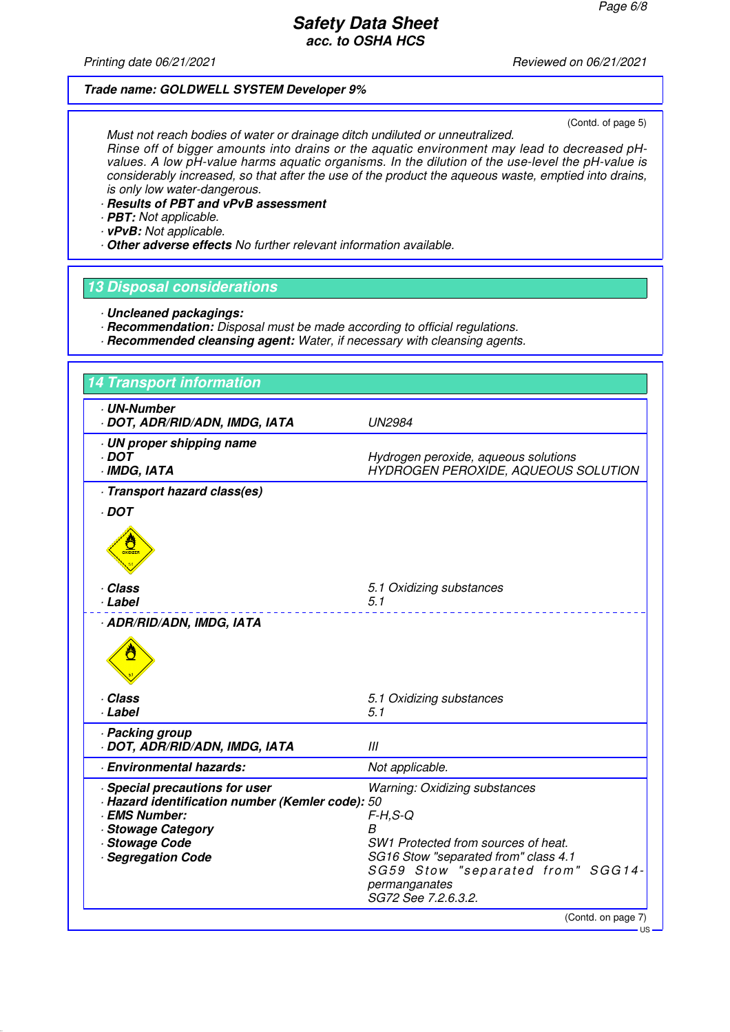Printing date 06/21/2021 **Printing date 06/21/2021** 

### **Trade name: GOLDWELL SYSTEM Developer 9%**

(Contd. of page 5)

Must not reach bodies of water or drainage ditch undiluted or unneutralized. Rinse off of bigger amounts into drains or the aquatic environment may lead to decreased pHvalues. A low pH-value harms aquatic organisms. In the dilution of the use-level the pH-value is considerably increased, so that after the use of the product the aqueous waste, emptied into drains, is only low water-dangerous.

- · **Results of PBT and vPvB assessment**
- · **PBT:** Not applicable.
- · **vPvB:** Not applicable.
- · **Other adverse effects** No further relevant information available.

#### **13 Disposal considerations**

- · **Uncleaned packagings:**
- · **Recommendation:** Disposal must be made according to official regulations.
- · **Recommended cleansing agent:** Water, if necessary with cleansing agents.

| <b>14 Transport information</b>                                                                                                                                        |                                                                                                                                                                                                                     |
|------------------------------------------------------------------------------------------------------------------------------------------------------------------------|---------------------------------------------------------------------------------------------------------------------------------------------------------------------------------------------------------------------|
| <b>UN-Number</b><br>DOT, ADR/RID/ADN, IMDG, IATA                                                                                                                       | <b>UN2984</b>                                                                                                                                                                                                       |
| · UN proper shipping name<br>· DOT<br>· IMDG, IATA                                                                                                                     | Hydrogen peroxide, aqueous solutions<br>HYDROGEN PEROXIDE, AQUEOUS SOLUTION                                                                                                                                         |
| · Transport hazard class(es)                                                                                                                                           |                                                                                                                                                                                                                     |
| $\cdot$ DOT<br>$\frac{1}{\sqrt{2}}$                                                                                                                                    |                                                                                                                                                                                                                     |
| · Class<br>· Label                                                                                                                                                     | 5.1 Oxidizing substances<br>5.1                                                                                                                                                                                     |
| · ADR/RID/ADN, IMDG, IATA                                                                                                                                              |                                                                                                                                                                                                                     |
| · Class<br>· Label                                                                                                                                                     | 5.1 Oxidizing substances<br>5.1                                                                                                                                                                                     |
| · Packing group<br>· DOT, ADR/RID/ADN, IMDG, IATA                                                                                                                      | III                                                                                                                                                                                                                 |
| · Environmental hazards:                                                                                                                                               | Not applicable.                                                                                                                                                                                                     |
| · Special precautions for user<br>- Hazard identification number (Kemler code): 50<br>· EMS Number:<br><b>Stowage Category</b><br>· Stowage Code<br>· Segregation Code | <b>Warning: Oxidizing substances</b><br>$F-H, S-Q$<br>R<br>SW1 Protected from sources of heat.<br>SG16 Stow "separated from" class 4.1<br>SG59 Stow "separated from" SGG14-<br>permanganates<br>SG72 See 7.2.6.3.2. |
|                                                                                                                                                                        | (Contd. on page 7)                                                                                                                                                                                                  |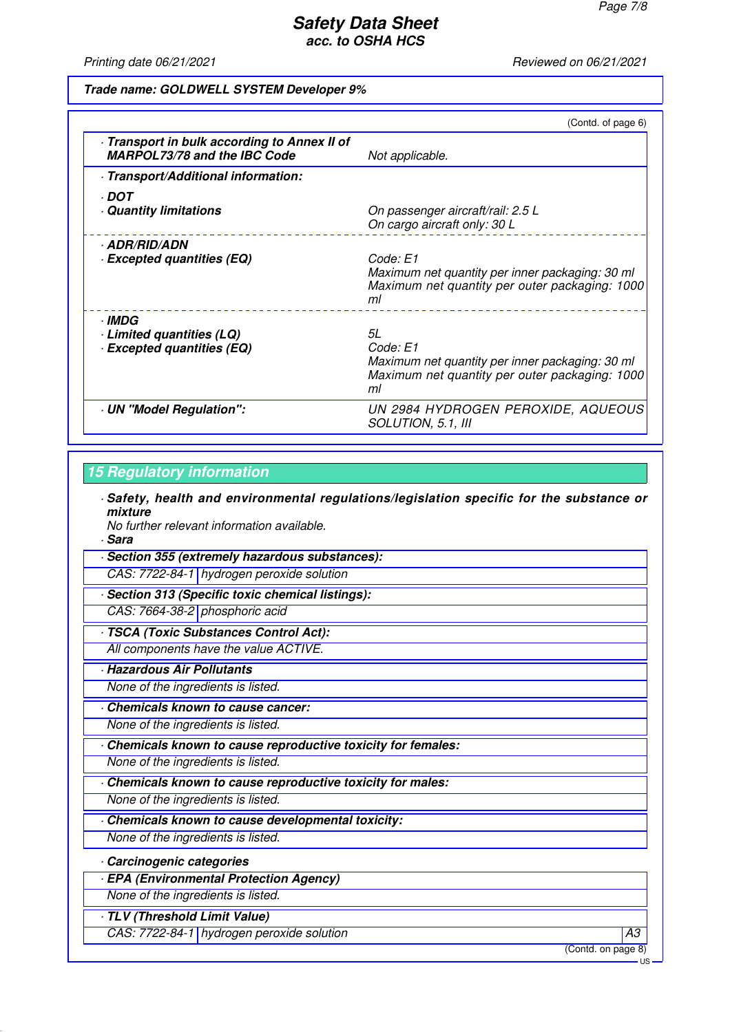Printing date 06/21/2021 **Printing date 06/21/2021** 

#### **Trade name: GOLDWELL SYSTEM Developer 9%**

|                                                                                   | (Contd. of page 6)                                                                                                        |
|-----------------------------------------------------------------------------------|---------------------------------------------------------------------------------------------------------------------------|
| Transport in bulk according to Annex II of<br><b>MARPOL73/78 and the IBC Code</b> | Not applicable.                                                                                                           |
| · Transport/Additional information:                                               |                                                                                                                           |
| · DOT<br><b>Quantity limitations</b>                                              | On passenger aircraft/rail: 2.5 L<br>On cargo aircraft only: 30 L                                                         |
| · ADR/RID/ADN<br><b>Excepted quantities (EQ)</b>                                  | Code: E1<br>Maximum net quantity per inner packaging: 30 ml<br>Maximum net quantity per outer packaging: 1000<br>ml       |
| · IMDG<br>Limited quantities (LQ)<br><b>Excepted quantities (EQ)</b>              | 5L<br>Code: E1<br>Maximum net quantity per inner packaging: 30 ml<br>Maximum net quantity per outer packaging: 1000<br>ml |
| UN "Model Regulation":                                                            | UN 2984 HYDROGEN PEROXIDE, AQUEOUS<br>SOLUTION, 5.1, III                                                                  |

#### **15 Regulatory information**

· **Safety, health and environmental regulations/legislation specific for the substance or mixture**

No further relevant information available.

· **Sara**

· **Section 355 (extremely hazardous substances):** CAS: 7722-84-1 hydrogen peroxide solution

· **Section 313 (Specific toxic chemical listings):**

CAS: 7664-38-2 phosphoric acid

· **TSCA (Toxic Substances Control Act):**

All components have the value ACTIVE.

· **Hazardous Air Pollutants**

None of the ingredients is listed.

· **Chemicals known to cause cancer:**

None of the ingredients is listed.

· **Chemicals known to cause reproductive toxicity for females:**

None of the ingredients is listed.

· **Chemicals known to cause reproductive toxicity for males:**

None of the ingredients is listed.

· **Chemicals known to cause developmental toxicity:**

None of the ingredients is listed.

#### · **Carcinogenic categories**

· **EPA (Environmental Protection Agency)**

None of the ingredients is listed.

· **TLV (Threshold Limit Value)**

CAS: 7722-84-1 | hydrogen peroxide solution A3

(Contd. on page 8)

US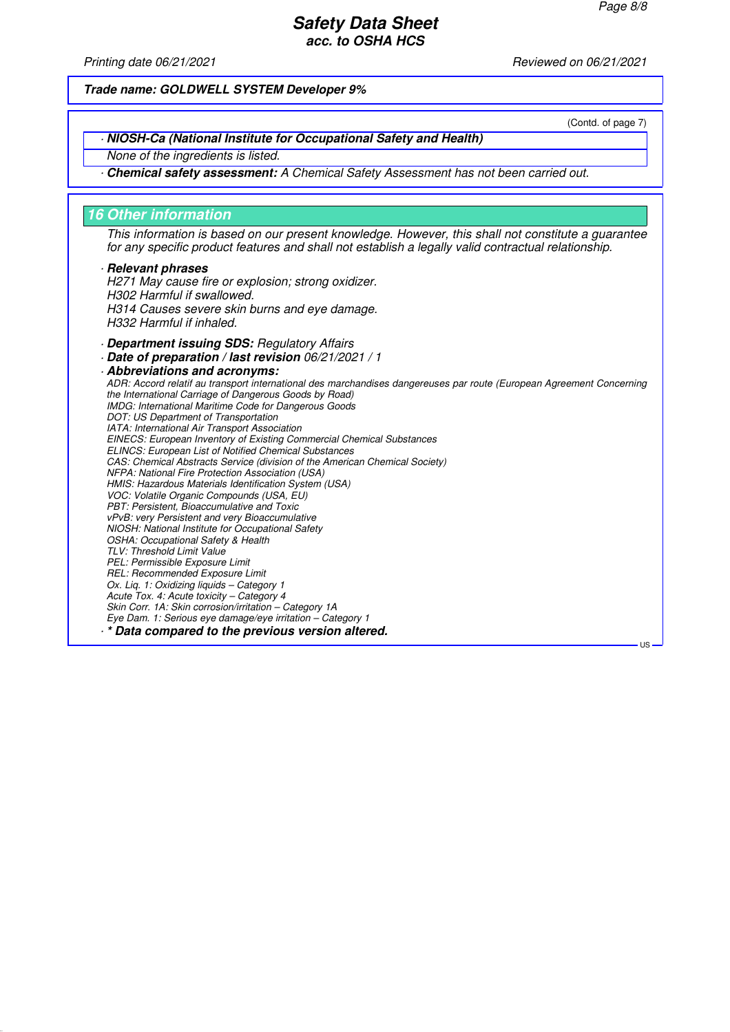(Contd. of page 7)

US

# **Safety Data Sheet acc. to OSHA HCS**

Printing date 06/21/2021 **Reviewed on 06/21/2021** 

**Trade name: GOLDWELL SYSTEM Developer 9%**

#### · **NIOSH-Ca (National Institute for Occupational Safety and Health)**

None of the ingredients is listed.

· **Chemical safety assessment:** A Chemical Safety Assessment has not been carried out.

#### **16 Other information**

This information is based on our present knowledge. However, this shall not constitute a guarantee for any specific product features and shall not establish a legally valid contractual relationship.

#### · **Relevant phrases**

H271 May cause fire or explosion; strong oxidizer. H302 Harmful if swallowed. H314 Causes severe skin burns and eye damage. H332 Harmful if inhaled.

· **Department issuing SDS:** Regulatory Affairs

· **Date of preparation / last revision** 06/21/2021 / 1

· **Abbreviations and acronyms:** ADR: Accord relatif au transport international des marchandises dangereuses par route (European Agreement Concerning the International Carriage of Dangerous Goods by Road) IMDG: International Maritime Code for Dangerous Goods DOT: US Department of Transportation IATA: International Air Transport Association EINECS: European Inventory of Existing Commercial Chemical Substances ELINCS: European List of Notified Chemical Substances CAS: Chemical Abstracts Service (division of the American Chemical Society) NFPA: National Fire Protection Association (USA) HMIS: Hazardous Materials Identification System (USA) VOC: Volatile Organic Compounds (USA, EU) PBT: Persistent, Bioaccumulative and Toxic vPvB: very Persistent and very Bioaccumulative NIOSH: National Institute for Occupational Safety OSHA: Occupational Safety & Health TLV: Threshold Limit Value PEL: Permissible Exposure Limit REL: Recommended Exposure Limit Ox. Lig. 1: Oxidizing liquids - Category 1 Acute Tox. 4: Acute toxicity – Category 4 Skin Corr. 1A: Skin corrosion/irritation – Category 1A Eye Dam. 1: Serious eye damage/eye irritation – Category 1 · **\* Data compared to the previous version altered.**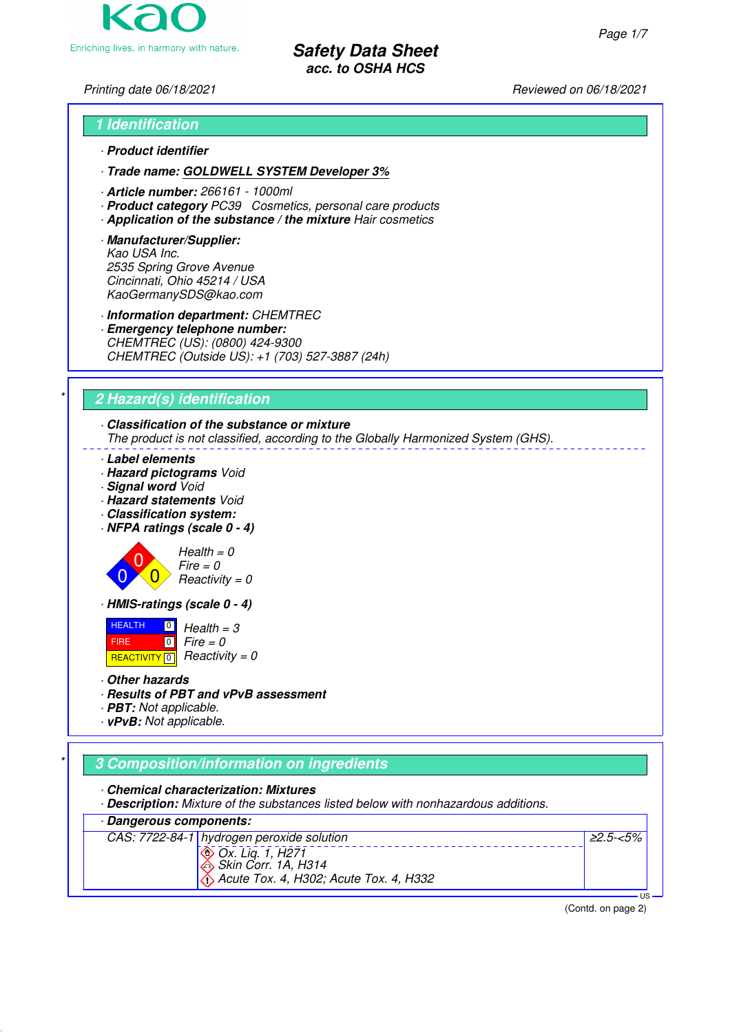Enriching lives, in harmony with nature.

**Safety Data Sheet acc. to OSHA HCS**

Printing date 06/18/2021 **Printing date 06/18/2021** Reviewed on 06/18/2021

# **1 Identification** · **Product identifier**

· **Trade name: GOLDWELL SYSTEM Developer 3%**

- · **Article number:** 266161 1000ml
- · **Product category** PC39 Cosmetics, personal care products
- · **Application of the substance / the mixture** Hair cosmetics
- · **Manufacturer/Supplier:** Kao USA Inc. 2535 Spring Grove Avenue Cincinnati, Ohio 45214 / USA KaoGermanySDS@kao.com

· **Information department:** CHEMTREC

· **Emergency telephone number:** CHEMTREC (US): (0800) 424-9300 CHEMTREC (Outside US): +1 (703) 527-3887 (24h)

# \* **2 Hazard(s) identification**

# · **Classification of the substance or mixture**

The product is not classified, according to the Globally Harmonized System (GHS).

- · **Label elements**
- · **Hazard pictograms** Void
- · **Signal word** Void
- · **Hazard statements** Void
- · **Classification system:**
- · **NFPA ratings (scale 0 4)**





· **HMIS-ratings (scale 0 - 4)**

**HEALTH**  FIRE REACTIVITY  $\boxed{0}$  Reactivity = 0  $\boxed{0}$  $\boxed{0}$  $Health = 3$  $Fire = 0$ 

- · **Other hazards**
- · **Results of PBT and vPvB assessment**
- · **PBT:** Not applicable.
- · **vPvB:** Not applicable.

# \* **3 Composition/information on ingredients**

· **Chemical characterization: Mixtures**

· **Description:** Mixture of the substances listed below with nonhazardous additions.





(Contd. on page 2)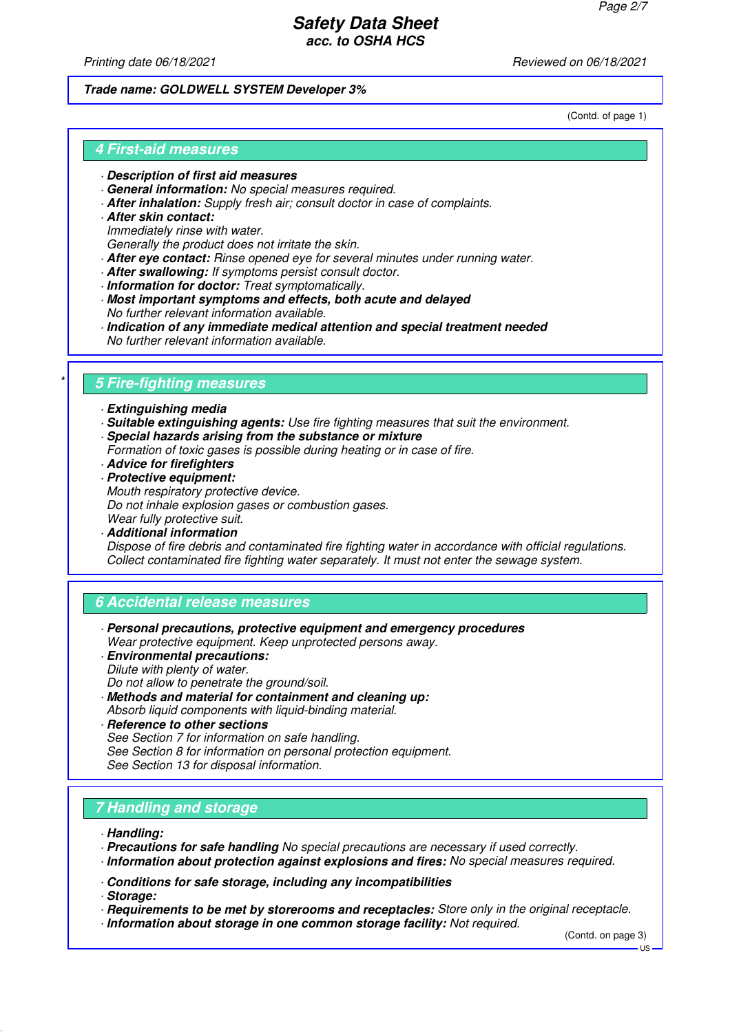Printing date 06/18/2021 **Printing date 06/18/2021** Reviewed on 06/18/2021

#### **Trade name: GOLDWELL SYSTEM Developer 3%**

(Contd. of page 1)

### **4 First-aid measures**

- · **Description of first aid measures**
- · **General information:** No special measures required.
- · **After inhalation:** Supply fresh air; consult doctor in case of complaints.
- · **After skin contact:** Immediately rinse with water. Generally the product does not irritate the skin.
- · **After eye contact:** Rinse opened eye for several minutes under running water.
- · **After swallowing:** If symptoms persist consult doctor.
- · **Information for doctor:** Treat symptomatically.
- · **Most important symptoms and effects, both acute and delayed** No further relevant information available.
- · **Indication of any immediate medical attention and special treatment needed** No further relevant information available.

# \* **5 Fire-fighting measures**

- · **Extinguishing media**
- · **Suitable extinguishing agents:** Use fire fighting measures that suit the environment. · **Special hazards arising from the substance or mixture**
- Formation of toxic gases is possible during heating or in case of fire.
- · **Advice for firefighters**
- · **Protective equipment:**
- Mouth respiratory protective device.
- Do not inhale explosion gases or combustion gases.
- Wear fully protective suit. · **Additional information**

Dispose of fire debris and contaminated fire fighting water in accordance with official regulations. Collect contaminated fire fighting water separately. It must not enter the sewage system.

# **6 Accidental release measures**

- · **Personal precautions, protective equipment and emergency procedures** Wear protective equipment. Keep unprotected persons away.
- · **Environmental precautions:** Dilute with plenty of water.
- Do not allow to penetrate the ground/soil.
- · **Methods and material for containment and cleaning up:** Absorb liquid components with liquid-binding material.
- · **Reference to other sections** See Section 7 for information on safe handling. See Section 8 for information on personal protection equipment. See Section 13 for disposal information.

# **7 Handling and storage**

- · **Handling:**
- · **Precautions for safe handling** No special precautions are necessary if used correctly.
- · **Information about protection against explosions and fires:** No special measures required.
- · **Conditions for safe storage, including any incompatibilities**

· **Storage:**

- · **Requirements to be met by storerooms and receptacles:** Store only in the original receptacle.
- · **Information about storage in one common storage facility:** Not required.

(Contd. on page 3)

 $H<sub>S</sub>$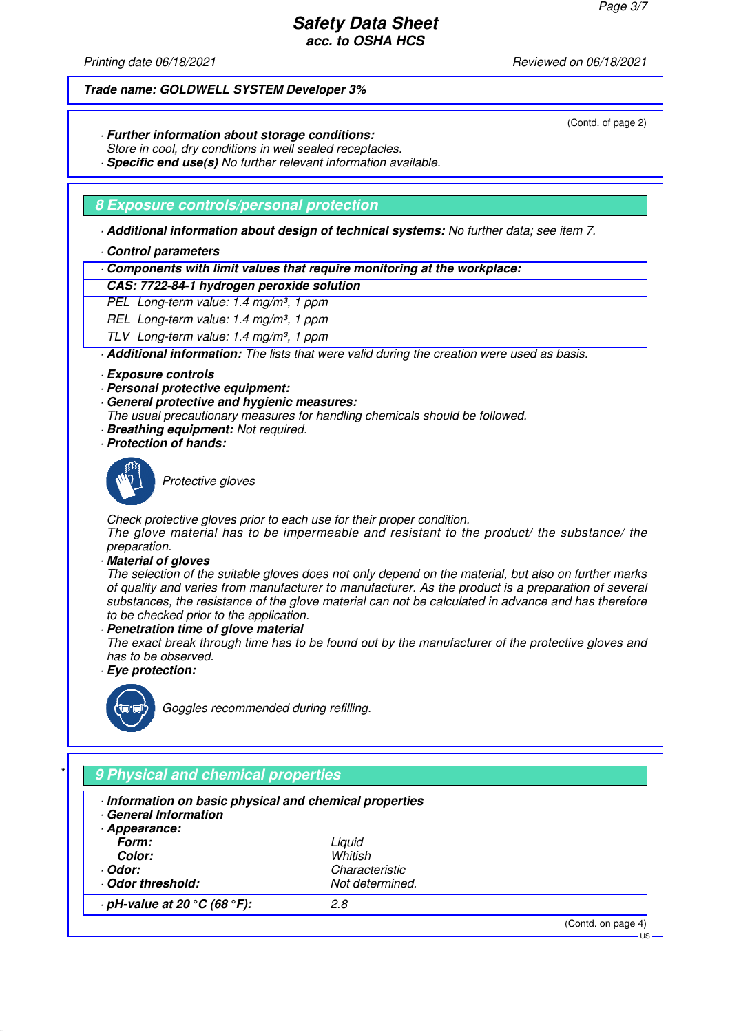(Contd. of page 2)

US

# **Safety Data Sheet acc. to OSHA HCS**

Printing date 06/18/2021 **Printing date 06/18/2021** Reviewed on 06/18/2021

#### **Trade name: GOLDWELL SYSTEM Developer 3%**

- · **Further information about storage conditions:**
- Store in cool, dry conditions in well sealed receptacles.
- · **Specific end use(s)** No further relevant information available.

### **8 Exposure controls/personal protection**

· **Additional information about design of technical systems:** No further data; see item 7.

- · **Control parameters**
- · **Components with limit values that require monitoring at the workplace:**

### **CAS: 7722-84-1 hydrogen peroxide solution**

PEL Long-term value: 1.4 mg/m<sup>3</sup>, 1 ppm

- REL Long-term value:  $1.4$  mg/m<sup>3</sup>, 1 ppm
- TLV Long-term value: 1.4 mg/m<sup>3</sup>, 1 ppm

· **Additional information:** The lists that were valid during the creation were used as basis.

- · **Exposure controls**
- · **Personal protective equipment:**
- · **General protective and hygienic measures:**

The usual precautionary measures for handling chemicals should be followed.

- · **Breathing equipment:** Not required.
- · **Protection of hands:**



Protective aloves

Check protective gloves prior to each use for their proper condition.

The glove material has to be impermeable and resistant to the product/ the substance/ the preparation.

· **Material of gloves**

The selection of the suitable gloves does not only depend on the material, but also on further marks of quality and varies from manufacturer to manufacturer. As the product is a preparation of several substances, the resistance of the glove material can not be calculated in advance and has therefore to be checked prior to the application.

· **Penetration time of glove material**

The exact break through time has to be found out by the manufacturer of the protective gloves and has to be observed.

· **Eye protection:**



Goggles recommended during refilling.

# \* **9 Physical and chemical properties** · **Information on basic physical and chemical properties** · **General Information** · **Appearance: Form:** Liquid **Color:** Whitish · **Odor:** Characteristic · **Odor threshold:** Not determined. · **pH-value at 20 °C (68 °F):** 2.8 (Contd. on page 4)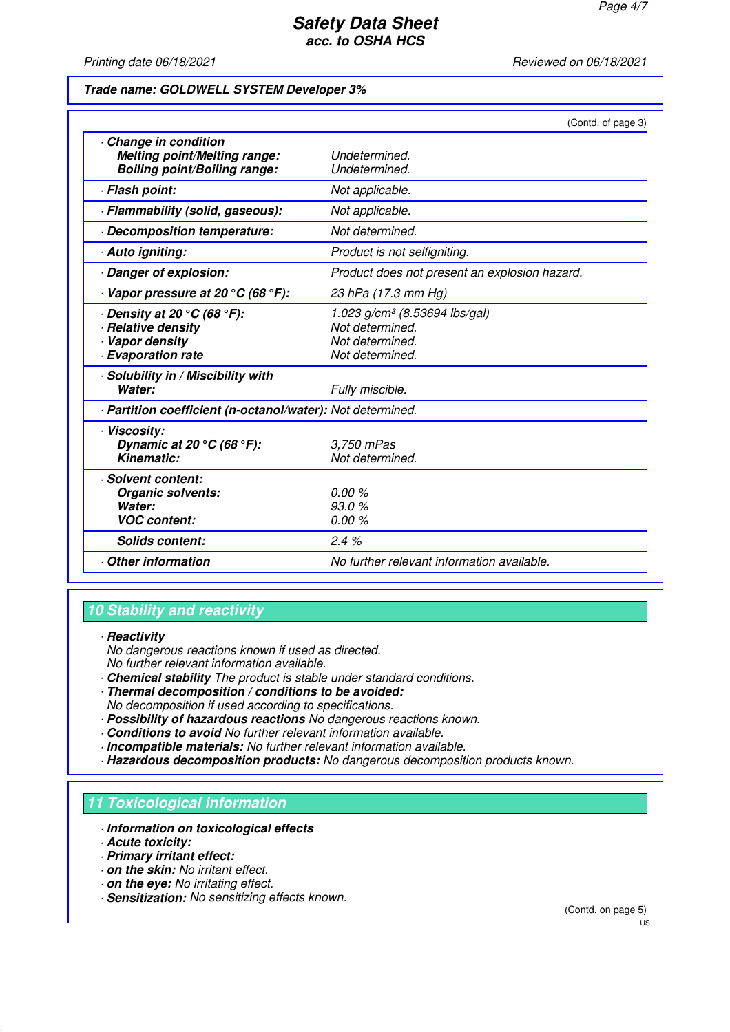Printing date 06/18/2021 **Printing date 06/18/2021** Reviewed on 06/18/2021

#### **Trade name: GOLDWELL SYSTEM Developer 3%**

|                                                                                                                         | (Contd. of page 3)                                                                                 |
|-------------------------------------------------------------------------------------------------------------------------|----------------------------------------------------------------------------------------------------|
| Change in condition<br><b>Melting point/Melting range:</b><br><b>Boiling point/Boiling range:</b>                       | Undetermined.<br>Undetermined.                                                                     |
| · Flash point:                                                                                                          | Not applicable.                                                                                    |
| · Flammability (solid, gaseous):                                                                                        | Not applicable.                                                                                    |
| Decomposition temperature:                                                                                              | Not determined.                                                                                    |
| · Auto igniting:                                                                                                        | Product is not selfigniting.                                                                       |
| Danger of explosion:                                                                                                    | Product does not present an explosion hazard.                                                      |
| $\cdot$ Vapor pressure at 20 °C (68 °F):                                                                                | 23 hPa (17.3 mm Hg)                                                                                |
| $\cdot$ Density at 20 $^{\circ}$ C (68 $^{\circ}$ F):<br>· Relative density<br>Vapor density<br><b>Evaporation rate</b> | 1.023 g/cm <sup>3</sup> (8.53694 lbs/gal)<br>Not determined.<br>Not determined.<br>Not determined. |
| · Solubility in / Miscibility with<br>Water:                                                                            | Fully miscible.                                                                                    |
| · Partition coefficient (n-octanol/water): Not determined.                                                              |                                                                                                    |
| · Viscosity:<br>Dynamic at 20 $\degree$ C (68 $\degree$ F):<br>Kinematic:                                               | 3,750 mPas<br>Not determined.                                                                      |
| · Solvent content:<br>Organic solvents:<br>Water:<br><b>VOC content:</b>                                                | 0.00%<br>93.0%<br>0.00%                                                                            |
| <b>Solids content:</b>                                                                                                  | 2.4%                                                                                               |
| Other information                                                                                                       | No further relevant information available.                                                         |

### **10 Stability and reactivity**

### · **Reactivity**

No dangerous reactions known if used as directed. No further relevant information available.

- · **Chemical stability** The product is stable under standard conditions.
- · **Thermal decomposition / conditions to be avoided:** No decomposition if used according to specifications.
- · **Possibility of hazardous reactions** No dangerous reactions known.
- · **Conditions to avoid** No further relevant information available.
- · **Incompatible materials:** No further relevant information available.
- · **Hazardous decomposition products:** No dangerous decomposition products known.

### **11 Toxicological information**

- · **Information on toxicological effects**
- · **Acute toxicity:**
- · **Primary irritant effect:**
- · **on the skin:** No irritant effect.
- · **on the eye:** No irritating effect.
- · **Sensitization:** No sensitizing effects known.

(Contd. on page 5)

 $H<sub>S</sub>$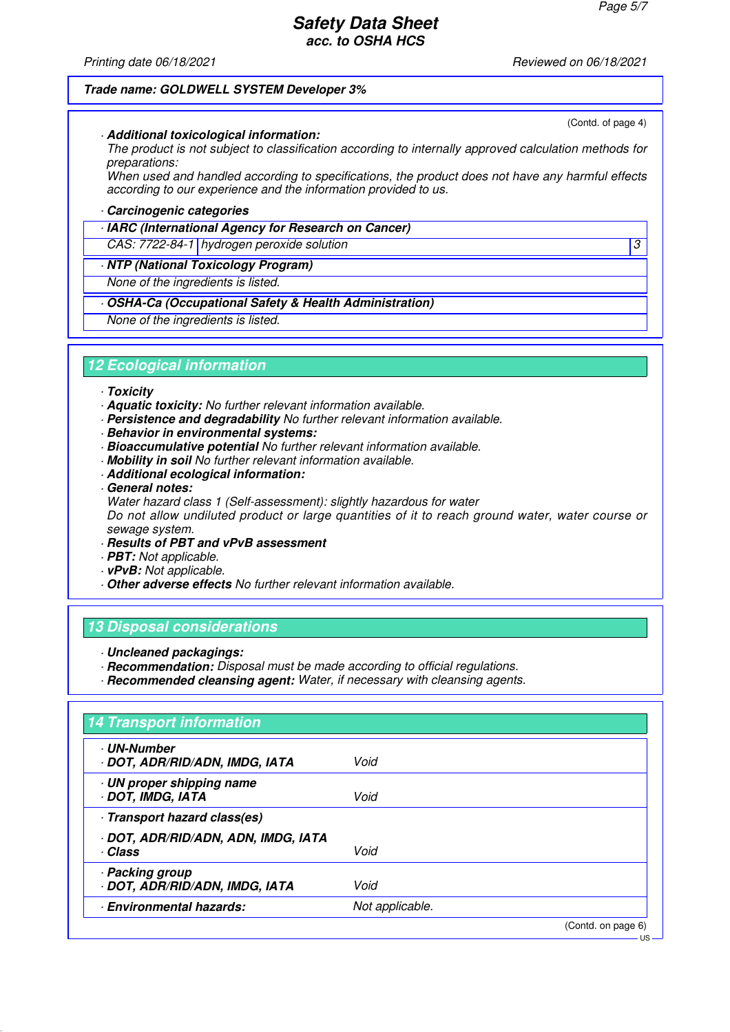Printing date 06/18/2021 **Printing date 06/18/2021** Reviewed on 06/18/2021

(Contd. of page 4)

US

#### **Trade name: GOLDWELL SYSTEM Developer 3%**

· **Additional toxicological information:**

The product is not subject to classification according to internally approved calculation methods for preparations:

When used and handled according to specifications, the product does not have any harmful effects according to our experience and the information provided to us.

#### · **Carcinogenic categories**

· **IARC (International Agency for Research on Cancer)**

CAS: 7722-84-1 hydrogen peroxide solution 3

#### · **NTP (National Toxicology Program)**

None of the ingredients is listed.

### · **OSHA-Ca (Occupational Safety & Health Administration)**

None of the ingredients is listed.

#### **12 Ecological information**

- · **Toxicity**
- · **Aquatic toxicity:** No further relevant information available.
- · **Persistence and degradability** No further relevant information available.
- · **Behavior in environmental systems:**
- · **Bioaccumulative potential** No further relevant information available.
- · **Mobility in soil** No further relevant information available.
- · **Additional ecological information:**
- · **General notes:**
- Water hazard class 1 (Self-assessment): slightly hazardous for water

Do not allow undiluted product or large quantities of it to reach ground water, water course or sewage system.

- · **Results of PBT and vPvB assessment**
- · **PBT:** Not applicable.
- · **vPvB:** Not applicable.
- · **Other adverse effects** No further relevant information available.

#### **13 Disposal considerations**

- · **Uncleaned packagings:**
- · **Recommendation:** Disposal must be made according to official regulations.
- · **Recommended cleansing agent:** Water, if necessary with cleansing agents.

| <b>14 Transport information</b>                    |                 |                    |
|----------------------------------------------------|-----------------|--------------------|
| <b>UN-Number</b><br>· DOT, ADR/RID/ADN, IMDG, IATA | Void            |                    |
| · UN proper shipping name<br>· DOT, IMDG, IATA     | Void            |                    |
| · Transport hazard class(es)                       |                 |                    |
| · DOT, ADR/RID/ADN, ADN, IMDG, IATA<br>· Class     | Void            |                    |
| · Packing group<br>· DOT, ADR/RID/ADN, IMDG, IATA  | Void            |                    |
| <b>Environmental hazards:</b>                      | Not applicable. |                    |
|                                                    |                 | (Contd. on page 6) |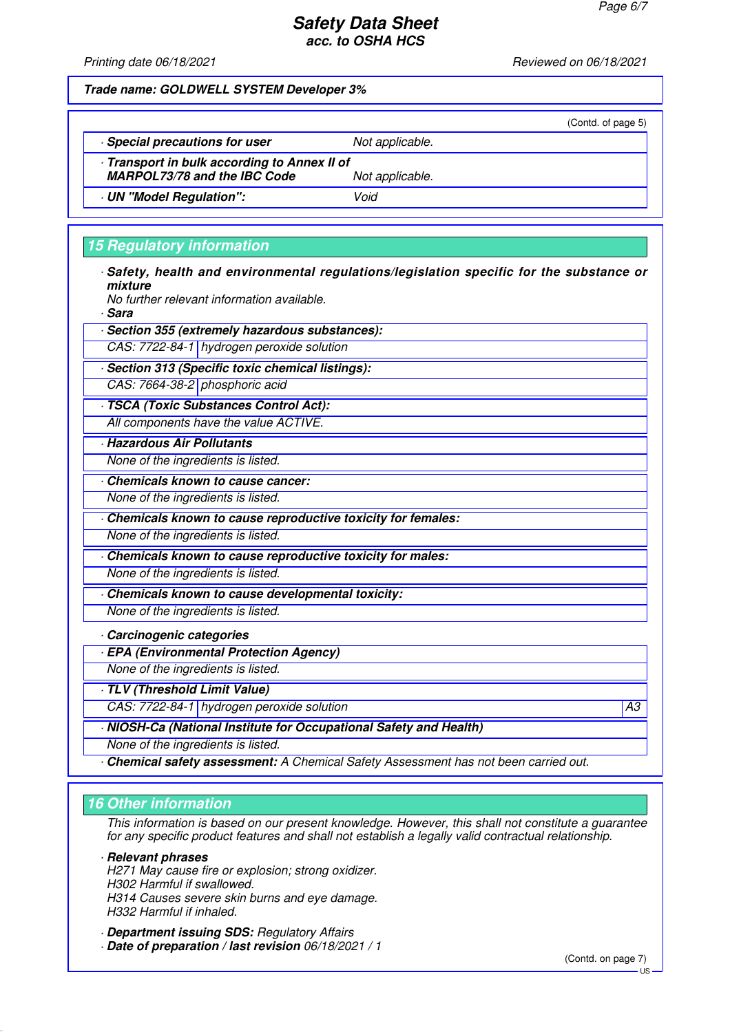Printing date 06/18/2021 **Printing date 06/18/2021** Reviewed on 06/18/2021

|                                                                                   |                 | (Contd. of page 5) |
|-----------------------------------------------------------------------------------|-----------------|--------------------|
| Special precautions for user                                                      | Not applicable. |                    |
| Transport in bulk according to Annex II of<br><b>MARPOL73/78 and the IBC Code</b> | Not applicable. |                    |
| UN "Model Regulation":                                                            | Void            |                    |
|                                                                                   |                 |                    |

# **15 Regulatory information**

· **Safety, health and environmental regulations/legislation specific for the substance or mixture**

No further relevant information available.

· **Sara**

· **Section 355 (extremely hazardous substances):**

CAS: 7722-84-1 hydrogen peroxide solution

· **Section 313 (Specific toxic chemical listings):**

CAS: 7664-38-2 phosphoric acid

· **TSCA (Toxic Substances Control Act):** All components have the value ACTIVE.

· **Hazardous Air Pollutants**

None of the ingredients is listed.

· **Chemicals known to cause cancer:**

None of the ingredients is listed.

· **Chemicals known to cause reproductive toxicity for females:**

None of the ingredients is listed.

· **Chemicals known to cause reproductive toxicity for males:**

None of the ingredients is listed.

· **Chemicals known to cause developmental toxicity:** None of the ingredients is listed.

· **Carcinogenic categories**

· **EPA (Environmental Protection Agency)**

None of the ingredients is listed.

· **TLV (Threshold Limit Value)**

CAS: 7722-84-1 hydrogen peroxide solution A3

· **NIOSH-Ca (National Institute for Occupational Safety and Health)**

None of the ingredients is listed.

· **Chemical safety assessment:** A Chemical Safety Assessment has not been carried out.

# **16 Other information**

This information is based on our present knowledge. However, this shall not constitute a guarantee for any specific product features and shall not establish a legally valid contractual relationship.

· **Relevant phrases**

H271 May cause fire or explosion; strong oxidizer. H302 Harmful if swallowed. H314 Causes severe skin burns and eye damage. H332 Harmful if inhaled.

· **Department issuing SDS:** Regulatory Affairs

· **Date of preparation / last revision** 06/18/2021 / 1

 $\overline{18}$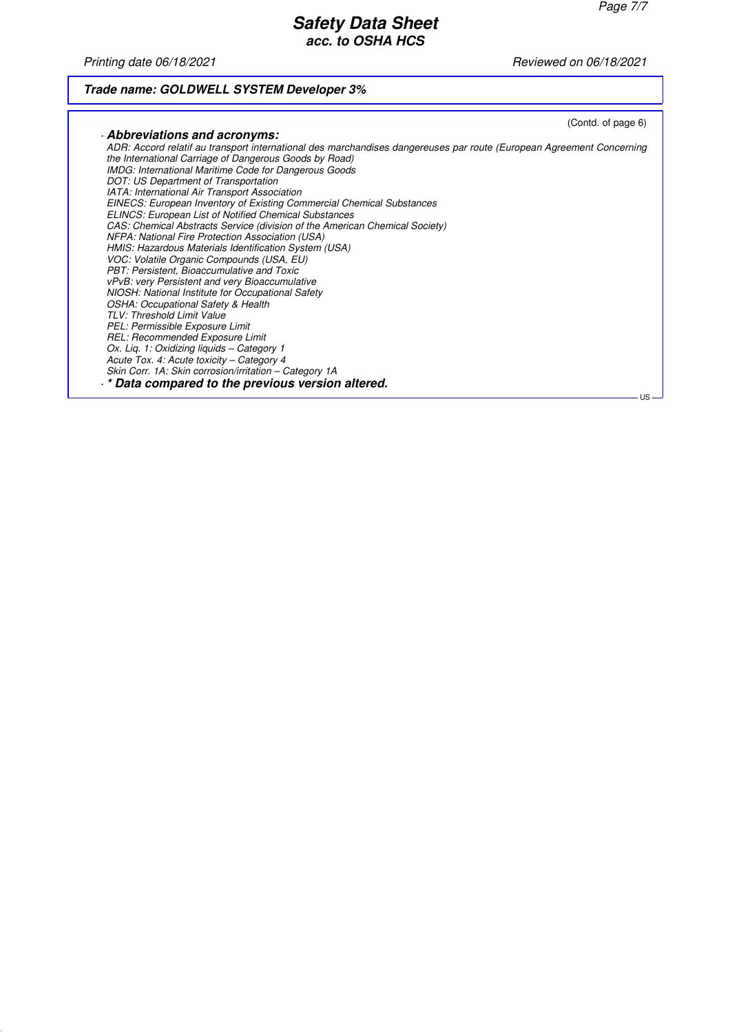Printing date 06/18/2021 **Principal and COVID-2021** Reviewed on 06/18/2021

# **Trade name: GOLDWELL SYSTEM Developer 3%**

| Abbreviations and acronyms:<br>ADR: Accord relatif au transport international des marchandises dangereuses par route (European Agreement Concerning<br>the International Carriage of Dangerous Goods by Road)<br><b>IMDG: International Maritime Code for Dangerous Goods</b><br>DOT: US Department of Transportation<br>IATA: International Air Transport Association<br><b>EINECS: European Inventory of Existing Commercial Chemical Substances</b><br><b>ELINCS: European List of Notified Chemical Substances</b><br>CAS: Chemical Abstracts Service (division of the American Chemical Society)<br>NFPA: National Fire Protection Association (USA)<br>HMIS: Hazardous Materials Identification System (USA)<br>VOC: Volatile Organic Compounds (USA, EU)<br>PBT: Persistent, Bioaccumulative and Toxic |
|---------------------------------------------------------------------------------------------------------------------------------------------------------------------------------------------------------------------------------------------------------------------------------------------------------------------------------------------------------------------------------------------------------------------------------------------------------------------------------------------------------------------------------------------------------------------------------------------------------------------------------------------------------------------------------------------------------------------------------------------------------------------------------------------------------------|
|                                                                                                                                                                                                                                                                                                                                                                                                                                                                                                                                                                                                                                                                                                                                                                                                               |
|                                                                                                                                                                                                                                                                                                                                                                                                                                                                                                                                                                                                                                                                                                                                                                                                               |
|                                                                                                                                                                                                                                                                                                                                                                                                                                                                                                                                                                                                                                                                                                                                                                                                               |
|                                                                                                                                                                                                                                                                                                                                                                                                                                                                                                                                                                                                                                                                                                                                                                                                               |
|                                                                                                                                                                                                                                                                                                                                                                                                                                                                                                                                                                                                                                                                                                                                                                                                               |
|                                                                                                                                                                                                                                                                                                                                                                                                                                                                                                                                                                                                                                                                                                                                                                                                               |
|                                                                                                                                                                                                                                                                                                                                                                                                                                                                                                                                                                                                                                                                                                                                                                                                               |
|                                                                                                                                                                                                                                                                                                                                                                                                                                                                                                                                                                                                                                                                                                                                                                                                               |
|                                                                                                                                                                                                                                                                                                                                                                                                                                                                                                                                                                                                                                                                                                                                                                                                               |
|                                                                                                                                                                                                                                                                                                                                                                                                                                                                                                                                                                                                                                                                                                                                                                                                               |
|                                                                                                                                                                                                                                                                                                                                                                                                                                                                                                                                                                                                                                                                                                                                                                                                               |
|                                                                                                                                                                                                                                                                                                                                                                                                                                                                                                                                                                                                                                                                                                                                                                                                               |
| vPvB: very Persistent and very Bioaccumulative                                                                                                                                                                                                                                                                                                                                                                                                                                                                                                                                                                                                                                                                                                                                                                |
| NIOSH: National Institute for Occupational Safety                                                                                                                                                                                                                                                                                                                                                                                                                                                                                                                                                                                                                                                                                                                                                             |
| <b>OSHA: Occupational Safety &amp; Health</b>                                                                                                                                                                                                                                                                                                                                                                                                                                                                                                                                                                                                                                                                                                                                                                 |
| TLV: Threshold Limit Value                                                                                                                                                                                                                                                                                                                                                                                                                                                                                                                                                                                                                                                                                                                                                                                    |
| PEL: Permissible Exposure Limit                                                                                                                                                                                                                                                                                                                                                                                                                                                                                                                                                                                                                                                                                                                                                                               |
| REL: Recommended Exposure Limit                                                                                                                                                                                                                                                                                                                                                                                                                                                                                                                                                                                                                                                                                                                                                                               |
| Ox. Lig. 1: Oxidizing liquids - Category 1                                                                                                                                                                                                                                                                                                                                                                                                                                                                                                                                                                                                                                                                                                                                                                    |
| Acute Tox. 4: Acute toxicity - Category 4                                                                                                                                                                                                                                                                                                                                                                                                                                                                                                                                                                                                                                                                                                                                                                     |
| Skin Corr. 1A: Skin corrosion/irritation - Category 1A                                                                                                                                                                                                                                                                                                                                                                                                                                                                                                                                                                                                                                                                                                                                                        |
| . * Data compared to the previous version altered.                                                                                                                                                                                                                                                                                                                                                                                                                                                                                                                                                                                                                                                                                                                                                            |
| $US -$                                                                                                                                                                                                                                                                                                                                                                                                                                                                                                                                                                                                                                                                                                                                                                                                        |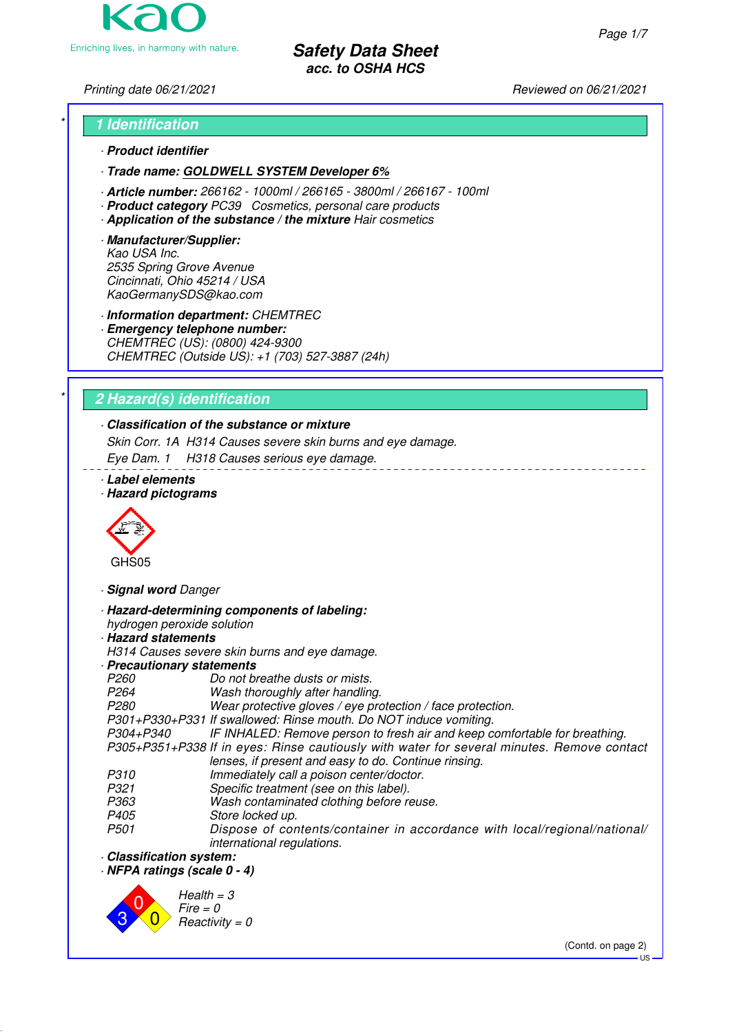

# Printing date 06/21/2021 **Reviewed on 06/21/2021**

# \* **1 Identification** · **Product identifier**

- · **Trade name: GOLDWELL SYSTEM Developer 6%**
- · **Article number:** 266162 1000ml / 266165 3800ml / 266167 100ml
- · **Product category** PC39 Cosmetics, personal care products
- · **Application of the substance / the mixture** Hair cosmetics
- · **Manufacturer/Supplier:** Kao USA Inc. 2535 Spring Grove Avenue Cincinnati, Ohio 45214 / USA KaoGermanySDS@kao.com

· **Information department:** CHEMTREC

· **Emergency telephone number:** CHEMTREC (US): (0800) 424-9300 CHEMTREC (Outside US): +1 (703) 527-3887 (24h)

# \* **2 Hazard(s) identification**

# · **Classification of the substance or mixture**

Skin Corr. 1A H314 Causes severe skin burns and eye damage.

Eye Dam. 1 H318 Causes serious eye damage.

- · **Label elements**
- · **Hazard pictograms**



· **Signal word** Danger

· **Hazard-determining components of labeling:**

hydrogen peroxide solution

# · **Hazard statements**

H314 Causes severe skin burns and eye damage.

- · **Precautionary statements**
- P260 Do not breathe dusts or mists.<br>P264 Wash thoroughly after handling
- P264 Wash thoroughly after handling.<br>P280 Wear protective gloves / eve pro

Wear protective gloves / eye protection / face protection.

P301+P330+P331 If swallowed: Rinse mouth. Do NOT induce vomiting.

IF INHALED: Remove person to fresh air and keep comfortable for breathing. P305+P351+P338 If in eyes: Rinse cautiously with water for several minutes. Remove contact lenses, if present and easy to do. Continue rinsing.

- 
- P310 Immediately call a poison center/doctor.<br>P321 Specific treatment (see on this label).
- P321 Specific treatment (see on this label).<br>P363 Wash contaminated clothing before re-P363 Wash contaminated clothing before reuse.<br>P405 Store locked up.
- 
- P405 Store locked up.<br>P501 Dispose of cor Dispose of contents/container in accordance with local/regional/national/ international regulations.
- · **Classification system:**

· **NFPA ratings (scale 0 - 4)**



(Contd. on page 2)

US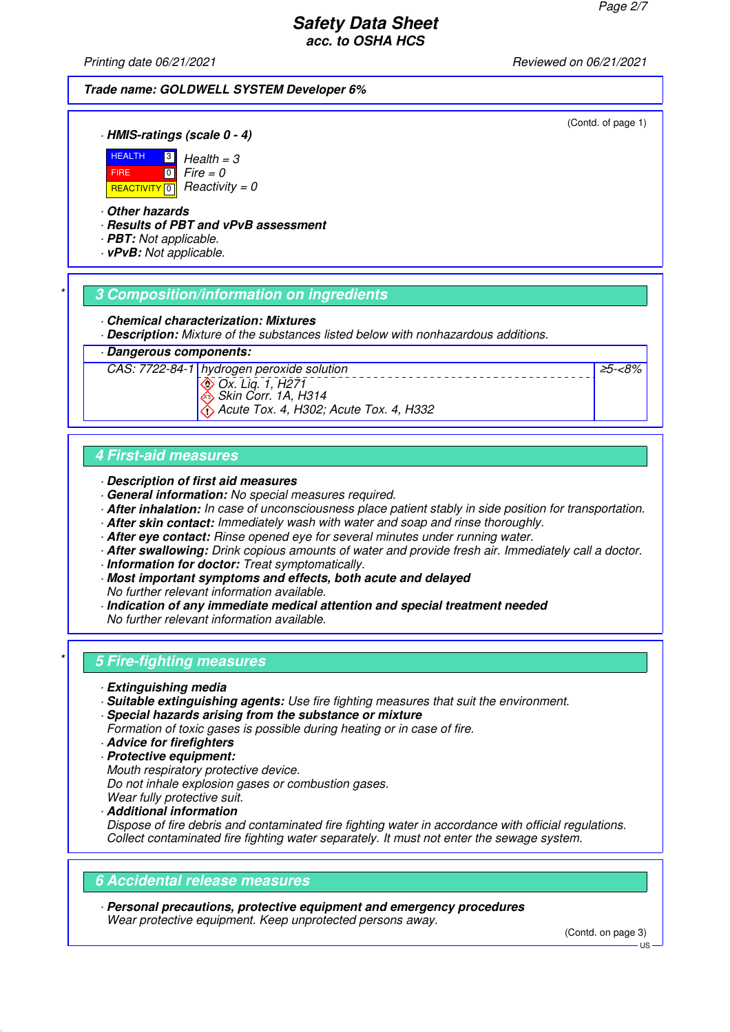(Contd. of page 1)

≥5-<8%

# **Safety Data Sheet acc. to OSHA HCS**

Printing date 06/21/2021 **Reviewed on 06/21/2021** 

### **Trade name: GOLDWELL SYSTEM Developer 6%**

· **HMIS-ratings (scale 0 - 4)**



REACTIVITY  $\boxed{0}$  Reactivity = 0  $\overline{10}$  $Health = 3$  $Fire = 0$ 

### · **Other hazards**

· **Results of PBT and vPvB assessment**

· **PBT:** Not applicable.

· **vPvB:** Not applicable.

### \* **3 Composition/information on ingredients**

· **Chemical characterization: Mixtures**

· **Description:** Mixture of the substances listed below with nonhazardous additions.

· **Dangerous components:**

CAS: 7722-84-1 hydrogen peroxide solution Ox. Liq. 1, H271 Skin Corr. 1A, H314 Acute Tox. 4, H302; Acute Tox. 4, H332

**4 First-aid measures**

· **Description of first aid measures**

- · **General information:** No special measures required.
- · **After inhalation:** In case of unconsciousness place patient stably in side position for transportation.
- · **After skin contact:** Immediately wash with water and soap and rinse thoroughly.
- · **After eye contact:** Rinse opened eye for several minutes under running water.
- · **After swallowing:** Drink copious amounts of water and provide fresh air. Immediately call a doctor.
- · **Information for doctor:** Treat symptomatically.
- · **Most important symptoms and effects, both acute and delayed**
- No further relevant information available.
- · **Indication of any immediate medical attention and special treatment needed** No further relevant information available.

# \* **5 Fire-fighting measures**

- · **Extinguishing media**
- · **Suitable extinguishing agents:** Use fire fighting measures that suit the environment.
- · **Special hazards arising from the substance or mixture**
- Formation of toxic gases is possible during heating or in case of fire.
- · **Advice for firefighters**
- · **Protective equipment:**
- Mouth respiratory protective device.

Do not inhale explosion gases or combustion gases.

- Wear fully protective suit.
- · **Additional information**

Dispose of fire debris and contaminated fire fighting water in accordance with official regulations. Collect contaminated fire fighting water separately. It must not enter the sewage system.

#### **6 Accidental release measures**

· **Personal precautions, protective equipment and emergency procedures** Wear protective equipment. Keep unprotected persons away.

(Contd. on page 3)

US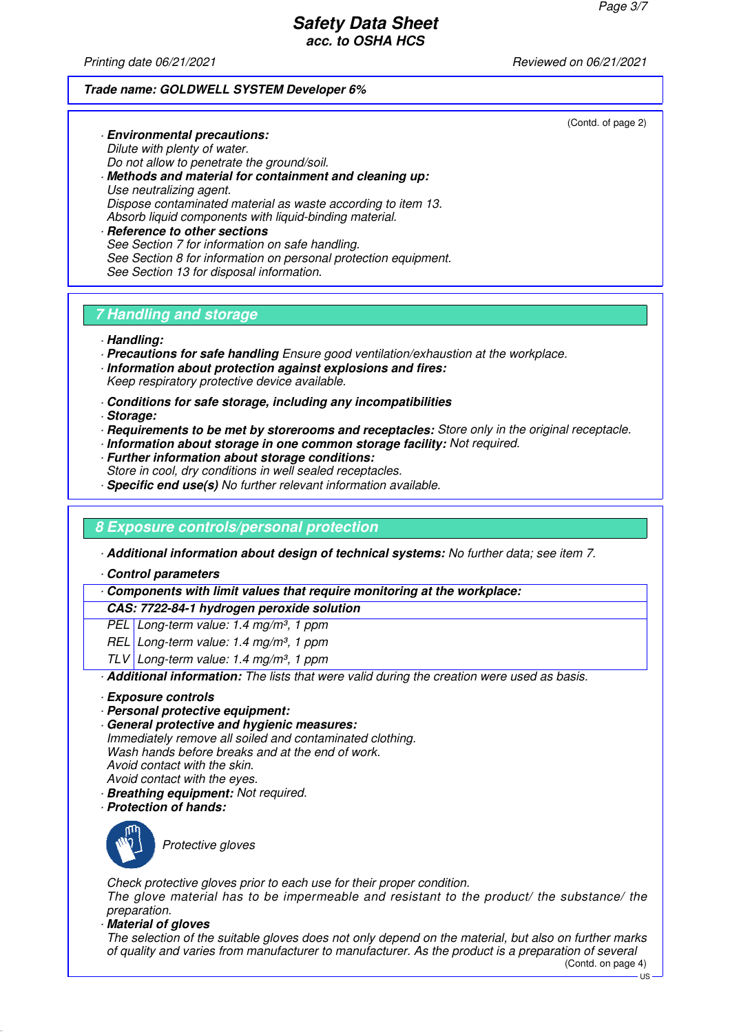Printing date 06/21/2021 **Reviewed on 06/21/2021** 

#### **Trade name: GOLDWELL SYSTEM Developer 6%**

(Contd. of page 2)

Dilute with plenty of water. Do not allow to penetrate the ground/soil. · **Methods and material for containment and cleaning up:** Use neutralizing agent. Dispose contaminated material as waste according to item 13. Absorb liquid components with liquid-binding material. · **Reference to other sections** See Section 7 for information on safe handling. See Section 8 for information on personal protection equipment.

# **7 Handling and storage**

See Section 13 for disposal information.

· **Environmental precautions:**

- · **Handling:**
- · **Precautions for safe handling** Ensure good ventilation/exhaustion at the workplace.
- · **Information about protection against explosions and fires:** Keep respiratory protective device available.
- · **Conditions for safe storage, including any incompatibilities**
- · **Storage:**
- · **Requirements to be met by storerooms and receptacles:** Store only in the original receptacle.
- · **Information about storage in one common storage facility:** Not required.
- · **Further information about storage conditions:** Store in cool, dry conditions in well sealed receptacles.
- · **Specific end use(s)** No further relevant information available.

# **8 Exposure controls/personal protection**

· **Additional information about design of technical systems:** No further data; see item 7.

· **Control parameters**

· **Components with limit values that require monitoring at the workplace:**

#### **CAS: 7722-84-1 hydrogen peroxide solution**

PEL Long-term value: 1.4 mg/m<sup>3</sup>, 1 ppm

- REL Long-term value: 1.4 mg/m<sup>3</sup>, 1 ppm
- TLV Long-term value: 1.4 mg/m<sup>3</sup>, 1 ppm

· **Additional information:** The lists that were valid during the creation were used as basis.

- · **Exposure controls**
- · **Personal protective equipment:**
- · **General protective and hygienic measures:**

Immediately remove all soiled and contaminated clothing. Wash hands before breaks and at the end of work. Avoid contact with the skin. Avoid contact with the eyes.

- · **Breathing equipment:** Not required.
- · **Protection of hands:**



Protective gloves

Check protective gloves prior to each use for their proper condition. The glove material has to be impermeable and resistant to the product/ the substance/ the preparation.

· **Material of gloves**

The selection of the suitable gloves does not only depend on the material, but also on further marks of quality and varies from manufacturer to manufacturer. As the product is a preparation of several (Contd. on page 4)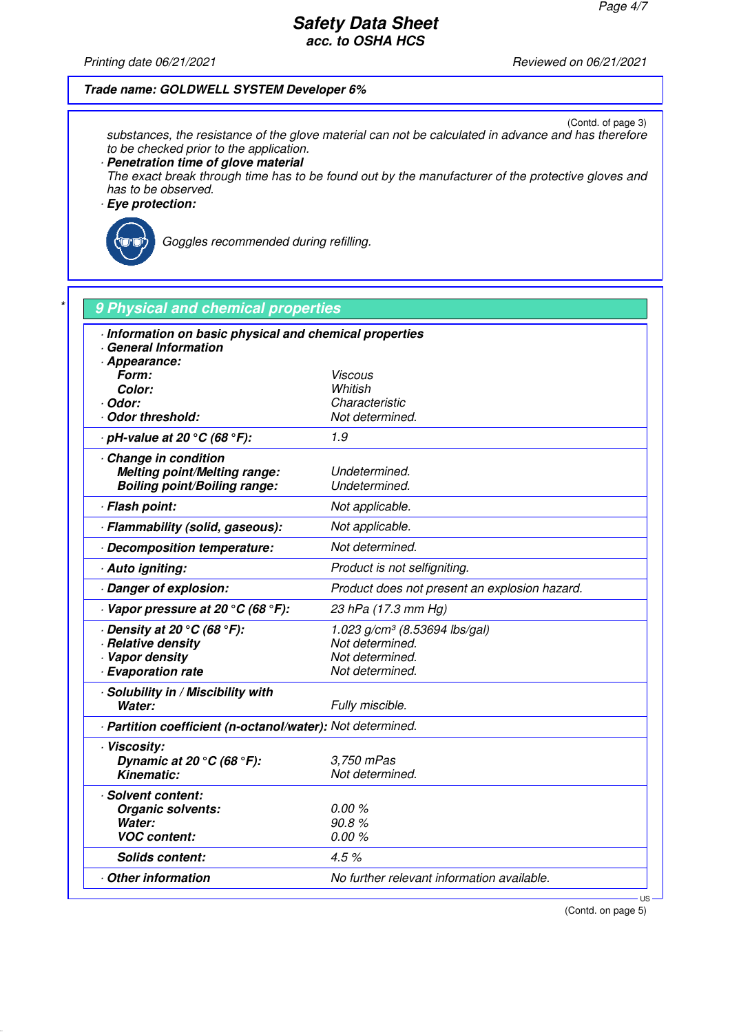Printing date 06/21/2021 Reviewed on 06/21/2021

### **Trade name: GOLDWELL SYSTEM Developer 6%**

(Contd. of page 3) substances, the resistance of the glove material can not be calculated in advance and has therefore to be checked prior to the application.

· **Penetration time of glove material**

The exact break through time has to be found out by the manufacturer of the protective gloves and has to be observed.

· **Eye protection:**



Goggles recommended during refilling.

| Information on basic physical and chemical properties<br>General Information<br>- Appearance: |                                               |
|-----------------------------------------------------------------------------------------------|-----------------------------------------------|
| Form:                                                                                         | Viscous                                       |
| Color:                                                                                        | Whitish                                       |
| · Odor:                                                                                       | Characteristic                                |
| Odor threshold:                                                                               | Not determined.                               |
| $\cdot$ pH-value at 20 $\degree$ C (68 $\degree$ F):                                          | 1.9                                           |
| Change in condition                                                                           |                                               |
| <b>Melting point/Melting range:</b>                                                           | Undetermined.                                 |
| <b>Boiling point/Boiling range:</b>                                                           | Undetermined.                                 |
| · Flash point:                                                                                | Not applicable.                               |
| · Flammability (solid, gaseous):                                                              | Not applicable.                               |
| Decomposition temperature:                                                                    | Not determined.                               |
| · Auto igniting:                                                                              | Product is not selfigniting.                  |
| Danger of explosion:                                                                          | Product does not present an explosion hazard. |
| $\cdot$ Vapor pressure at 20 °C (68 °F):                                                      | 23 hPa (17.3 mm Hg)                           |
| $\cdot$ Density at 20 $\degree$ C (68 $\degree$ F):                                           | 1.023 $g/cm^3$ (8.53694 lbs/gal)              |
| · Relative density                                                                            | Not determined.                               |
| · Vapor density                                                                               | Not determined.                               |
| · Evaporation rate                                                                            | Not determined.                               |
| · Solubility in / Miscibility with                                                            |                                               |
| Water:                                                                                        | Fully miscible.                               |
| - Partition coefficient (n-octanol/water): Not determined.                                    |                                               |
| · Viscosity:                                                                                  |                                               |
| Dynamic at 20 $\degree$ C (68 $\degree$ F):                                                   | 3.750 mPas                                    |
| <b>Kinematic:</b>                                                                             | Not determined.                               |
| · Solvent content:                                                                            |                                               |
| Organic solvents:                                                                             | 0.00%                                         |
| Water:                                                                                        | 90.8%                                         |
| <b>VOC content:</b>                                                                           | 0.00%                                         |
| <b>Solids content:</b>                                                                        | 4.5%                                          |
| <b>Other information</b>                                                                      | No further relevant information available.    |

(Contd. on page 5)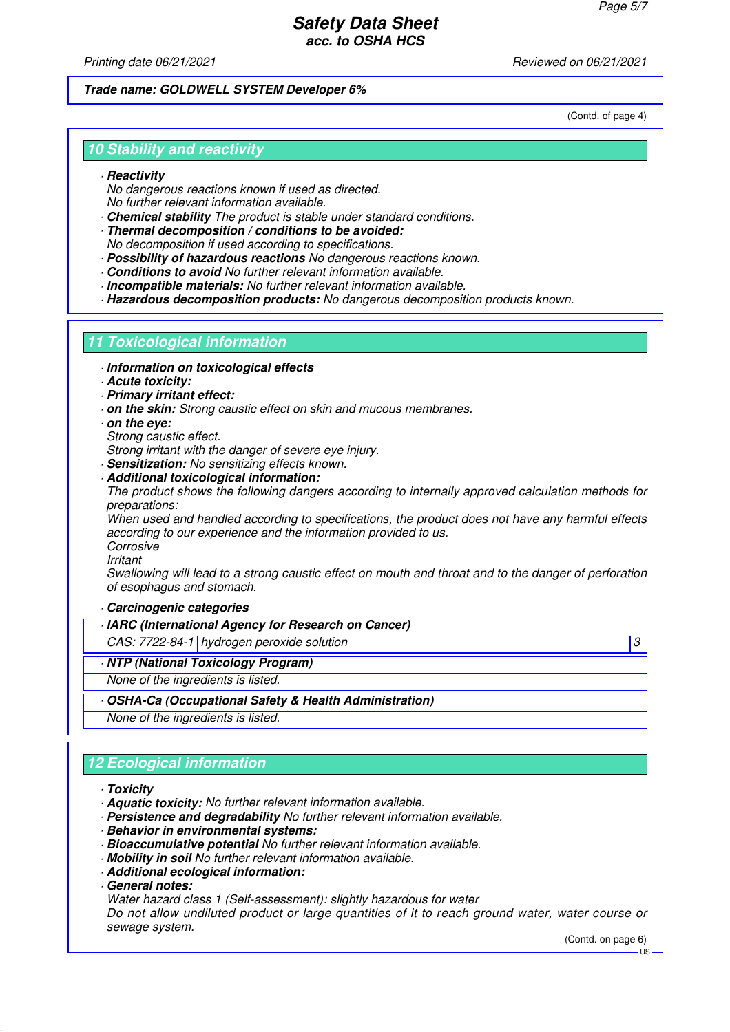Printing date 06/21/2021 **Reviewed on 06/21/2021** 

### **Trade name: GOLDWELL SYSTEM Developer 6%**

(Contd. of page 4)

## **10 Stability and reactivity**

#### · **Reactivity**

No dangerous reactions known if used as directed. No further relevant information available.

- · **Chemical stability** The product is stable under standard conditions.
- · **Thermal decomposition / conditions to be avoided:** No decomposition if used according to specifications.
- · **Possibility of hazardous reactions** No dangerous reactions known.
- · **Conditions to avoid** No further relevant information available.
- · **Incompatible materials:** No further relevant information available.

· **Hazardous decomposition products:** No dangerous decomposition products known.

### **11 Toxicological information**

- · **Information on toxicological effects**
- · **Acute toxicity:**
- · **Primary irritant effect:**
- · **on the skin:** Strong caustic effect on skin and mucous membranes.
- · **on the eye:**
- Strong caustic effect.
- Strong irritant with the danger of severe eve injury.
- · **Sensitization:** No sensitizing effects known.
- · **Additional toxicological information:**

The product shows the following dangers according to internally approved calculation methods for preparations:

When used and handled according to specifications, the product does not have any harmful effects according to our experience and the information provided to us.

Corrosive

Irritant

Swallowing will lead to a strong caustic effect on mouth and throat and to the danger of perforation of esophagus and stomach.

#### · **Carcinogenic categories**

- · **IARC (International Agency for Research on Cancer)**
- CAS: 7722-84-1 hydrogen peroxide solution 3
- · **NTP (National Toxicology Program)**
- None of the ingredients is listed.
- · **OSHA-Ca (Occupational Safety & Health Administration)**

None of the ingredients is listed.

# **12 Ecological information**

#### · **Toxicity**

- · **Aquatic toxicity:** No further relevant information available.
- · **Persistence and degradability** No further relevant information available.
- · **Behavior in environmental systems:**
- · **Bioaccumulative potential** No further relevant information available.
- · **Mobility in soil** No further relevant information available.
- · **Additional ecological information:**
- · **General notes:**
- Water hazard class 1 (Self-assessment): slightly hazardous for water

Do not allow undiluted product or large quantities of it to reach ground water, water course or sewage system.

(Contd. on page 6)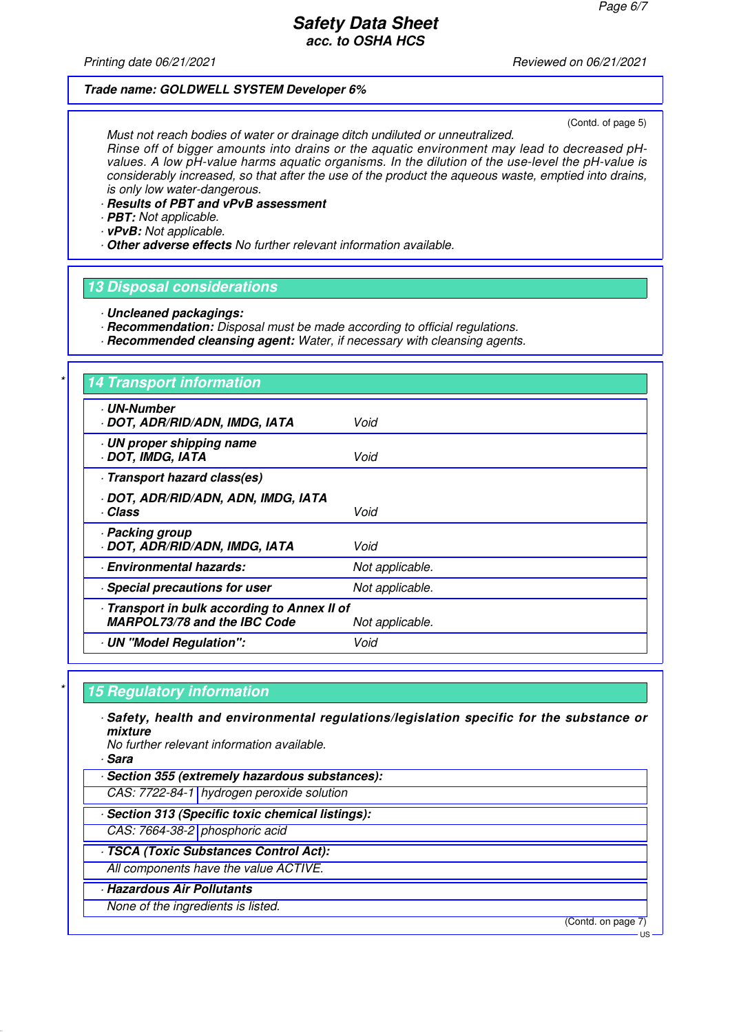Printing date 06/21/2021 **Reviewed on 06/21/2021** 

#### **Trade name: GOLDWELL SYSTEM Developer 6%**

(Contd. of page 5)

Must not reach bodies of water or drainage ditch undiluted or unneutralized. Rinse off of bigger amounts into drains or the aquatic environment may lead to decreased pHvalues. A low pH-value harms aquatic organisms. In the dilution of the use-level the pH-value is considerably increased, so that after the use of the product the aqueous waste, emptied into drains, is only low water-dangerous.

- · **Results of PBT and vPvB assessment**
- · **PBT:** Not applicable.
- · **vPvB:** Not applicable.
- · **Other adverse effects** No further relevant information available.

### **13 Disposal considerations**

- · **Uncleaned packagings:**
- · **Recommendation:** Disposal must be made according to official regulations.
- · **Recommended cleansing agent:** Water, if necessary with cleansing agents.

# **14 Transport information**

| <b>UN-Number</b><br>· DOT, ADR/RID/ADN, IMDG, IATA                                  | Void            |
|-------------------------------------------------------------------------------------|-----------------|
| · UN proper shipping name<br>· DOT, IMDG, IATA                                      | Void            |
| · Transport hazard class(es)                                                        |                 |
| · DOT, ADR/RID/ADN, ADN, IMDG, IATA<br>· Class                                      | Void            |
| · Packing group<br>· DOT, ADR/RID/ADN, IMDG, IATA                                   | Void            |
| <b>Environmental hazards:</b>                                                       | Not applicable. |
| · Special precautions for user                                                      | Not applicable. |
| - Transport in bulk according to Annex II of<br><b>MARPOL73/78 and the IBC Code</b> | Not applicable. |
| · UN "Model Regulation":                                                            | Void            |

### **15 Regulatory information**

· **Safety, health and environmental regulations/legislation specific for the substance or mixture**

No further relevant information available.

· **Sara**

· **Section 355 (extremely hazardous substances):**

CAS: 7722-84-1 hydrogen peroxide solution

· **Section 313 (Specific toxic chemical listings):**

CAS: 7664-38-2 phosphoric acid

· **TSCA (Toxic Substances Control Act):**

All components have the value ACTIVE.

· **Hazardous Air Pollutants**

None of the ingredients is listed.

(Contd. on page 7)

US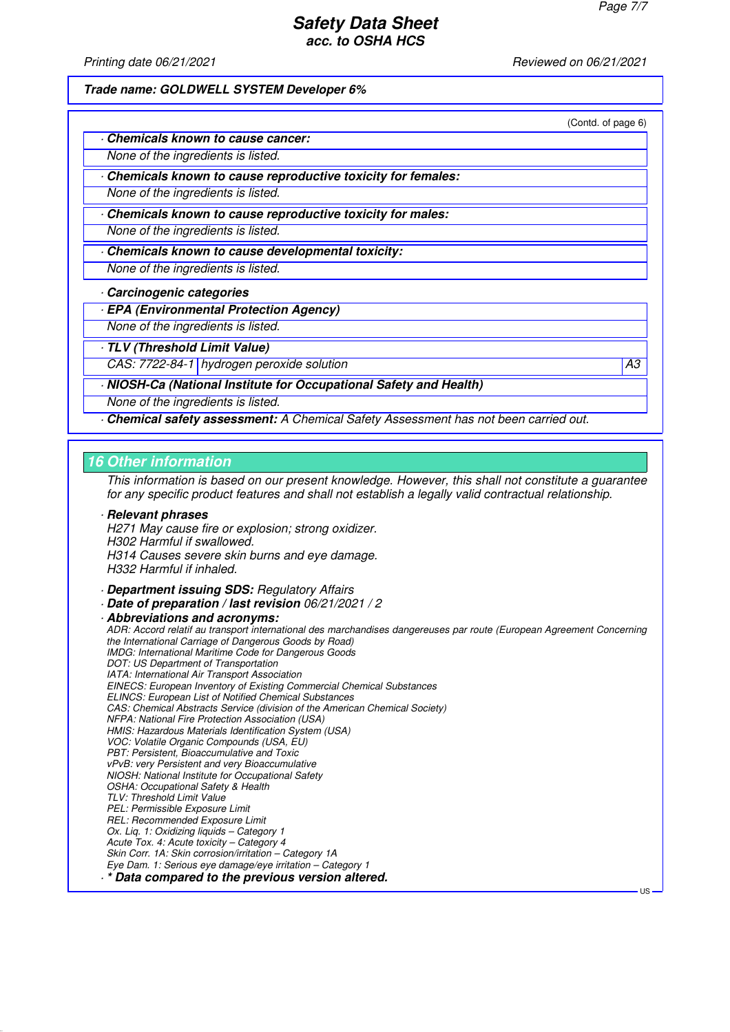Printing date 06/21/2021 **Reviewed on 06/21/2021** 

**Trade name: GOLDWELL SYSTEM Developer 6%**

(Contd. of page 6)

| Chemicals known to cause cancer: |  |  |
|----------------------------------|--|--|
|----------------------------------|--|--|

None of the ingredients is listed.

· **Chemicals known to cause reproductive toxicity for females:**

None of the ingredients is listed.

· **Chemicals known to cause reproductive toxicity for males:**

None of the ingredients is listed.

· **Chemicals known to cause developmental toxicity:**

None of the ingredients is listed.

· **Carcinogenic categories**

· **EPA (Environmental Protection Agency)**

None of the ingredients is listed.

· **TLV (Threshold Limit Value)**

CAS: 7722-84-1 hydrogen peroxide solution A3

· **NIOSH-Ca (National Institute for Occupational Safety and Health)**

None of the ingredients is listed.

· **Chemical safety assessment:** A Chemical Safety Assessment has not been carried out.

#### **16 Other information**

This information is based on our present knowledge. However, this shall not constitute a guarantee for any specific product features and shall not establish a legally valid contractual relationship.

· **Relevant phrases** H271 May cause fire or explosion; strong oxidizer. H302 Harmful if swallowed. H314 Causes severe skin burns and eye damage. H332 Harmful if inhaled.

- · **Department issuing SDS:** Regulatory Affairs
- · **Date of preparation / last revision** 06/21/2021 / 2

· **Abbreviations and acronyms:** ADR: Accord relatif au transport international des marchandises dangereuses par route (European Agreement Concerning the International Carriage of Dangerous Goods by Road) IMDG: International Maritime Code for Dangerous Goods DOT: US Department of Transportation IATA: International Air Transport Association EINECS: European Inventory of Existing Commercial Chemical Substances ELINCS: European List of Notified Chemical Substances CAS: Chemical Abstracts Service (division of the American Chemical Society) NFPA: National Fire Protection Association (USA) HMIS: Hazardous Materials Identification System (USA) VOC: Volatile Organic Compounds (USA, EU) PBT: Persistent, Bioaccumulative and Toxic vPvB: very Persistent and very Bioaccumulative NIOSH: National Institute for Occupational Safety OSHA: Occupational Safety & Health TLV: Threshold Limit Value PEL: Permissible Exposure Limit REL: Recommended Exposure Limit Ox. Lig. 1: Oxidizing liquids - Category 1 Acute Tox. 4: Acute toxicity – Category 4 Skin Corr. 1A: Skin corrosion/irritation – Category 1A Eye Dam. 1: Serious eye damage/eye irritation – Category 1 · **\* Data compared to the previous version altered.**

US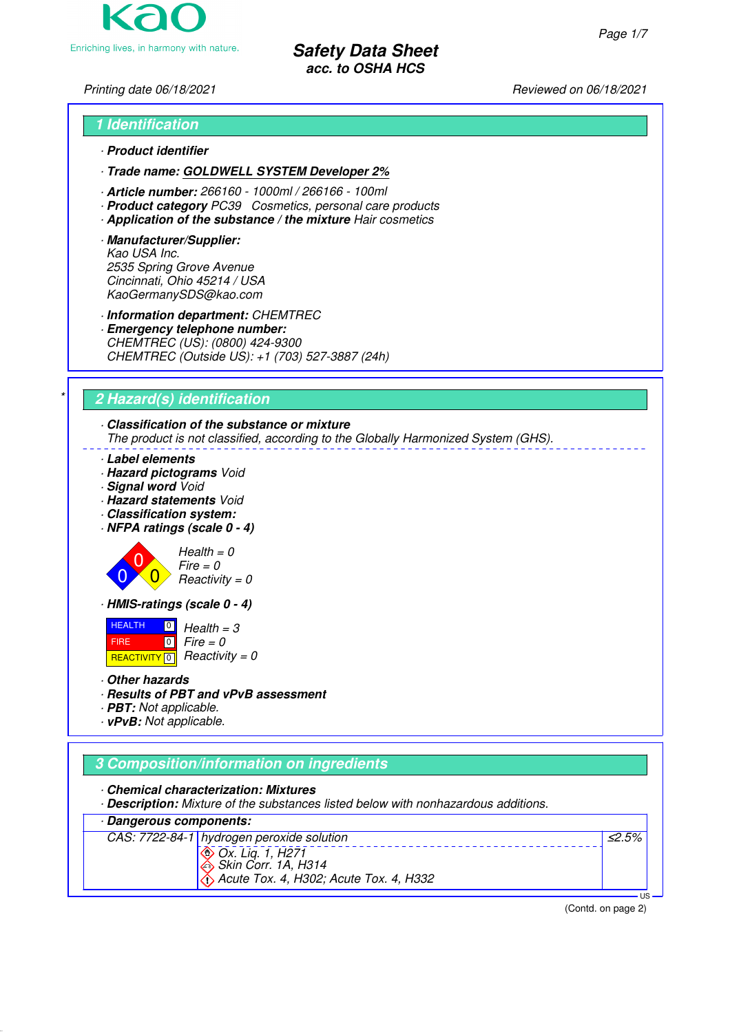Enriching lives, in harmony with nature.

**Safety Data Sheet acc. to OSHA HCS**

# Printing date 06/18/2021 **Printing date 06/18/2021** Reviewed on 06/18/2021

# **1 Identification** · **Product identifier**

- · **Trade name: GOLDWELL SYSTEM Developer 2%**
- · **Article number:** 266160 1000ml / 266166 100ml
- · **Product category** PC39 Cosmetics, personal care products
- · **Application of the substance / the mixture** Hair cosmetics
- · **Manufacturer/Supplier:** Kao USA Inc. 2535 Spring Grove Avenue Cincinnati, Ohio 45214 / USA KaoGermanySDS@kao.com

· **Information department:** CHEMTREC

· **Emergency telephone number:** CHEMTREC (US): (0800) 424-9300 CHEMTREC (Outside US): +1 (703) 527-3887 (24h)

# \* **2 Hazard(s) identification**

# · **Classification of the substance or mixture**

The product is not classified, according to the Globally Harmonized System (GHS).

- · **Label elements**
- · **Hazard pictograms** Void
- · **Signal word** Void
- · **Hazard statements** Void
- · **Classification system:**
- · **NFPA ratings (scale 0 4)**





· **HMIS-ratings (scale 0 - 4)**

**HEALTH**  FIRE REACTIVITY  $\boxed{0}$  Reactivity = 0  $\boxed{0}$  $\boxed{0}$  $Health = 3$  $Fire = 0$ 

- · **Other hazards**
- · **Results of PBT and vPvB assessment**
- · **PBT:** Not applicable.
- · **vPvB:** Not applicable.

# **3 Composition/information on ingredients**

· **Chemical characterization: Mixtures**

· **Description:** Mixture of the substances listed below with nonhazardous additions.





(Contd. on page 2)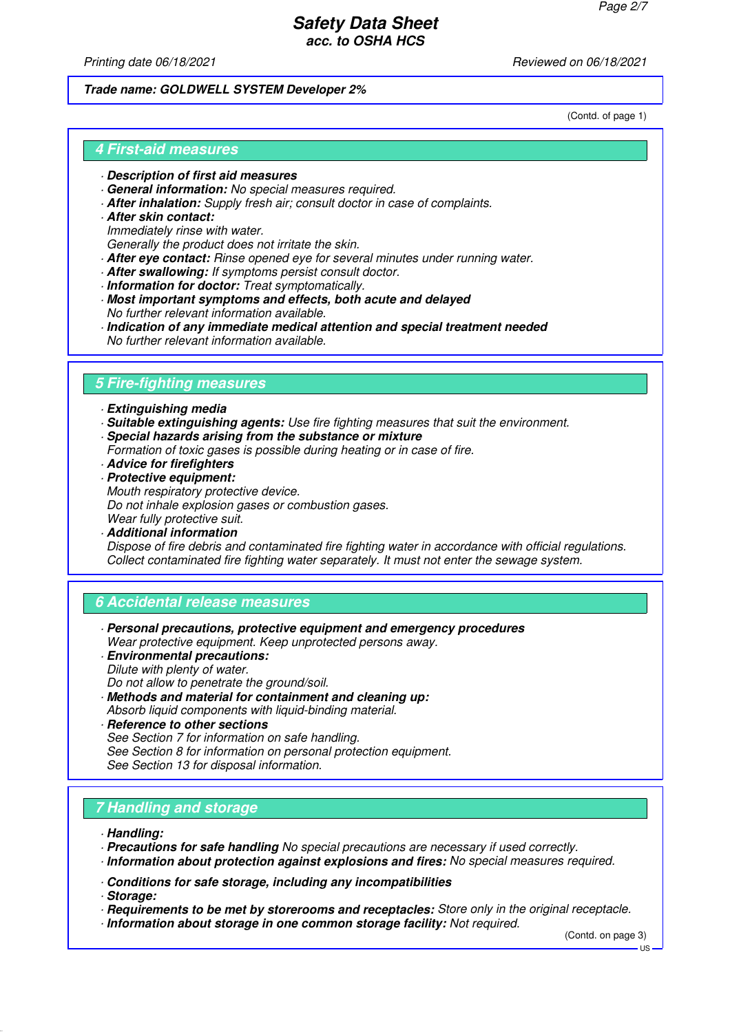Printing date 06/18/2021 **Printing date 06/18/2021** Reviewed on 06/18/2021

#### **Trade name: GOLDWELL SYSTEM Developer 2%**

(Contd. of page 1)

### **4 First-aid measures**

- · **Description of first aid measures**
- · **General information:** No special measures required.
- · **After inhalation:** Supply fresh air; consult doctor in case of complaints.
- · **After skin contact:** Immediately rinse with water. Generally the product does not irritate the skin.
- · **After eye contact:** Rinse opened eye for several minutes under running water.
- · **After swallowing:** If symptoms persist consult doctor.
- · **Information for doctor:** Treat symptomatically.
- · **Most important symptoms and effects, both acute and delayed** No further relevant information available.
- · **Indication of any immediate medical attention and special treatment needed** No further relevant information available.

# **5 Fire-fighting measures**

- · **Extinguishing media**
- · **Suitable extinguishing agents:** Use fire fighting measures that suit the environment. · **Special hazards arising from the substance or mixture**
- Formation of toxic gases is possible during heating or in case of fire.
- · **Advice for firefighters**
- · **Protective equipment:** Mouth respiratory protective device.
	- Do not inhale explosion gases or combustion gases.
- Wear fully protective suit.
- · **Additional information**

Dispose of fire debris and contaminated fire fighting water in accordance with official regulations. Collect contaminated fire fighting water separately. It must not enter the sewage system.

### **6 Accidental release measures**

- · **Personal precautions, protective equipment and emergency procedures** Wear protective equipment. Keep unprotected persons away.
- · **Environmental precautions:** Dilute with plenty of water.
- Do not allow to penetrate the ground/soil.
- · **Methods and material for containment and cleaning up:** Absorb liquid components with liquid-binding material.
- · **Reference to other sections** See Section 7 for information on safe handling. See Section 8 for information on personal protection equipment. See Section 13 for disposal information.

# **7 Handling and storage**

- · **Handling:**
- · **Precautions for safe handling** No special precautions are necessary if used correctly.
- · **Information about protection against explosions and fires:** No special measures required.
- · **Conditions for safe storage, including any incompatibilities**

· **Storage:**

- · **Requirements to be met by storerooms and receptacles:** Store only in the original receptacle.
- · **Information about storage in one common storage facility:** Not required.

(Contd. on page 3)

 $H<sub>S</sub>$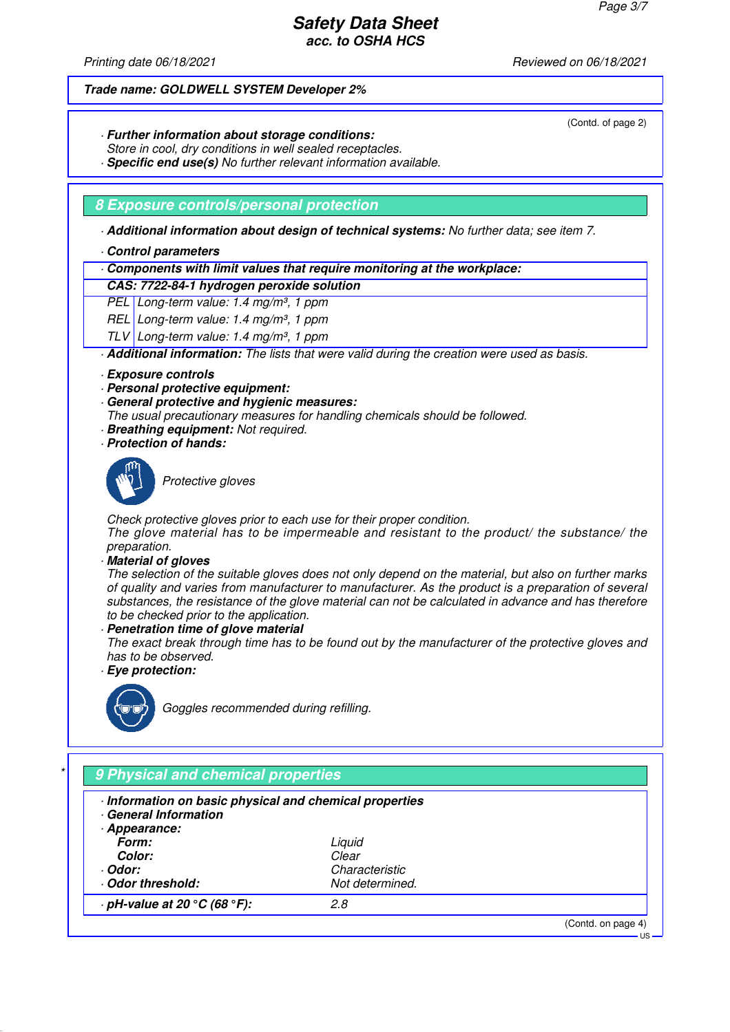(Contd. of page 2)

US

# **Safety Data Sheet acc. to OSHA HCS**

Printing date 06/18/2021 **Printing date 06/18/2021** Reviewed on 06/18/2021

#### **Trade name: GOLDWELL SYSTEM Developer 2%**

- · **Further information about storage conditions:**
- Store in cool, dry conditions in well sealed receptacles.
- · **Specific end use(s)** No further relevant information available.

### **8 Exposure controls/personal protection**

· **Additional information about design of technical systems:** No further data; see item 7.

- · **Control parameters**
- · **Components with limit values that require monitoring at the workplace:**

### **CAS: 7722-84-1 hydrogen peroxide solution**

PEL Long-term value: 1.4 mg/m<sup>3</sup>, 1 ppm

- REL Long-term value:  $1.4$  mg/m<sup>3</sup>, 1 ppm
- TLV Long-term value: 1.4 mg/m<sup>3</sup>, 1 ppm

· **Additional information:** The lists that were valid during the creation were used as basis.

- · **Exposure controls**
- · **Personal protective equipment:**
- · **General protective and hygienic measures:**

The usual precautionary measures for handling chemicals should be followed.

- · **Breathing equipment:** Not required.
- · **Protection of hands:**



Protective aloves

Check protective gloves prior to each use for their proper condition.

The glove material has to be impermeable and resistant to the product/ the substance/ the preparation.

· **Material of gloves**

The selection of the suitable gloves does not only depend on the material, but also on further marks of quality and varies from manufacturer to manufacturer. As the product is a preparation of several substances, the resistance of the glove material can not be calculated in advance and has therefore to be checked prior to the application.

· **Penetration time of glove material**

The exact break through time has to be found out by the manufacturer of the protective gloves and has to be observed.

· **Eye protection:**



Goggles recommended during refilling.

# \* **9 Physical and chemical properties** · **Information on basic physical and chemical properties** · **General Information** · **Appearance: Form:** Liquid **Color:** Clear · **Odor:** Characteristic · **Odor threshold:** Not determined. · **pH-value at 20 °C (68 °F):** 2.8 (Contd. on page 4)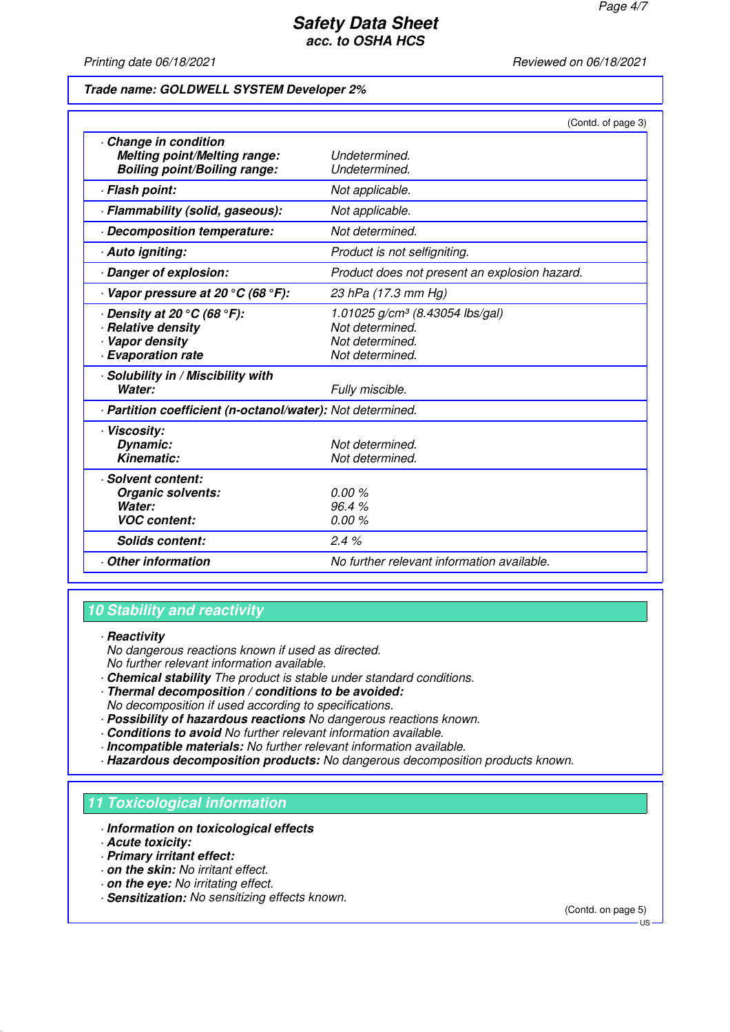Printing date 06/18/2021 **Printing date 06/18/2021** Reviewed on 06/18/2021

#### **Trade name: GOLDWELL SYSTEM Developer 2%**

|                                                                                                                  | (Contd. of page 3)                                                                                   |
|------------------------------------------------------------------------------------------------------------------|------------------------------------------------------------------------------------------------------|
| Change in condition<br>Melting point/Melting range:<br><b>Boiling point/Boiling range:</b>                       | Undetermined.<br>Undetermined.                                                                       |
| · Flash point:                                                                                                   | Not applicable.                                                                                      |
| · Flammability (solid, gaseous):                                                                                 | Not applicable.                                                                                      |
| Decomposition temperature:                                                                                       | Not determined.                                                                                      |
| · Auto igniting:                                                                                                 | Product is not selfigniting.                                                                         |
| Danger of explosion:                                                                                             | Product does not present an explosion hazard.                                                        |
| $\cdot$ Vapor pressure at 20 °C (68 °F):                                                                         | 23 hPa (17.3 mm Hg)                                                                                  |
| $\cdot$ Density at 20 $\degree$ C (68 $\degree$ F):<br>· Relative density<br>Vapor density<br>· Evaporation rate | 1.01025 g/cm <sup>3</sup> (8.43054 lbs/gal)<br>Not determined.<br>Not determined.<br>Not determined. |
| · Solubility in / Miscibility with<br>Water:                                                                     | Fully miscible.                                                                                      |
| · Partition coefficient (n-octanol/water): Not determined.                                                       |                                                                                                      |
| · Viscosity:<br>Dynamic:<br><b>Kinematic:</b>                                                                    | Not determined.<br>Not determined.                                                                   |
| · Solvent content:<br><b>Organic solvents:</b><br>Water:<br><b>VOC content:</b>                                  | 0.00%<br>96.4%<br>0.00%                                                                              |
| <b>Solids content:</b>                                                                                           | 2.4%                                                                                                 |
| Other information                                                                                                | No further relevant information available.                                                           |

## **10 Stability and reactivity**

### · **Reactivity**

No dangerous reactions known if used as directed. No further relevant information available.

- · **Chemical stability** The product is stable under standard conditions.
- · **Thermal decomposition / conditions to be avoided:** No decomposition if used according to specifications.
- · **Possibility of hazardous reactions** No dangerous reactions known.
- · **Conditions to avoid** No further relevant information available.
- · **Incompatible materials:** No further relevant information available.
- · **Hazardous decomposition products:** No dangerous decomposition products known.

### **11 Toxicological information**

- · **Information on toxicological effects**
- · **Acute toxicity:**
- · **Primary irritant effect:**
- · **on the skin:** No irritant effect.
- · **on the eye:** No irritating effect.
- · **Sensitization:** No sensitizing effects known.

(Contd. on page 5)

 $H<sub>S</sub>$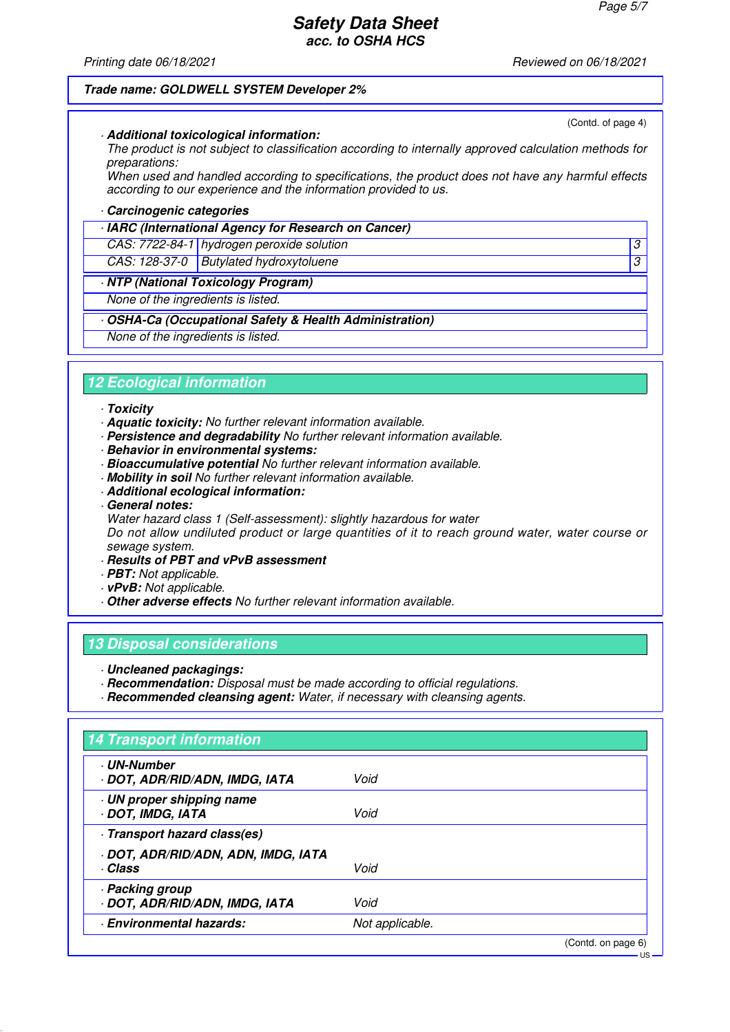Printing date 06/18/2021 **Printing date 06/18/2021** Reviewed on 06/18/2021

(Contd. of page 4)

US

#### **Trade name: GOLDWELL SYSTEM Developer 2%**

#### · **Additional toxicological information:**

The product is not subject to classification according to internally approved calculation methods for preparations:

When used and handled according to specifications, the product does not have any harmful effects according to our experience and the information provided to us.

#### · **Carcinogenic categories**

#### · **IARC (International Agency for Research on Cancer)**

CAS: 7722-84-1 hydrogen peroxide solution 3

CAS: 128-37-0 Butylated hydroxytoluene 3

### · **NTP (National Toxicology Program)**

None of the ingredients is listed.

· **OSHA-Ca (Occupational Safety & Health Administration)**

None of the ingredients is listed.

#### **12 Ecological information**

#### · **Toxicity**

- · **Aquatic toxicity:** No further relevant information available.
- · **Persistence and degradability** No further relevant information available.
- · **Behavior in environmental systems:**
- · **Bioaccumulative potential** No further relevant information available.
- · **Mobility in soil** No further relevant information available.
- · **Additional ecological information:**
- · **General notes:**

Water hazard class 1 (Self-assessment): slightly hazardous for water

Do not allow undiluted product or large quantities of it to reach ground water, water course or sewage system.

- · **Results of PBT and vPvB assessment**
- · **PBT:** Not applicable.
- · **vPvB:** Not applicable.
- · **Other adverse effects** No further relevant information available.

### **13 Disposal considerations**

- · **Uncleaned packagings:**
- · **Recommendation:** Disposal must be made according to official regulations.
- · **Recommended cleansing agent:** Water, if necessary with cleansing agents.

| <b>UN-Number</b>                             |                 |  |
|----------------------------------------------|-----------------|--|
| · DOT, ADR/RID/ADN, IMDG, IATA               | Void            |  |
| · UN proper shipping name<br>DOT, IMDG, IATA | Void            |  |
| Transport hazard class(es)                   |                 |  |
| · DOT, ADR/RID/ADN, ADN, IMDG, IATA          |                 |  |
| · Class                                      | Void            |  |
| · Packing group                              |                 |  |
| · DOT, ADR/RID/ADN, IMDG, IATA               | Void            |  |
| <b>Environmental hazards:</b>                | Not applicable. |  |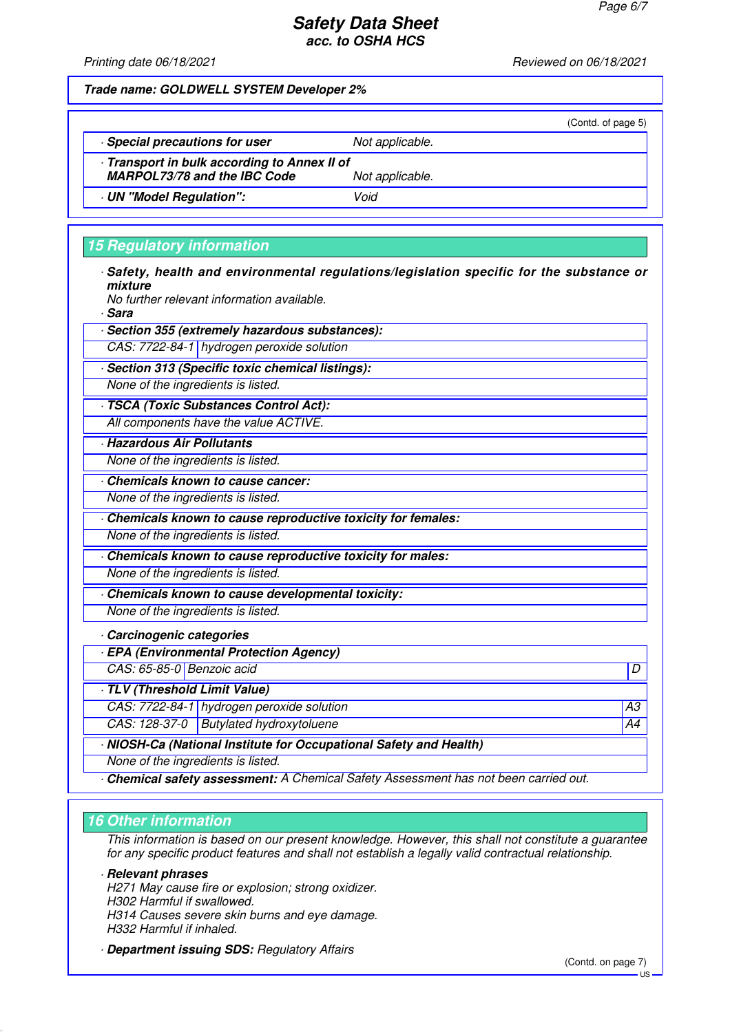Printing date 06/18/2021 **Printing date 06/18/2021** Reviewed on 06/18/2021

|                                                                                   |                 | (Contd. of page 5) |
|-----------------------------------------------------------------------------------|-----------------|--------------------|
| Special precautions for user                                                      | Not applicable. |                    |
| Transport in bulk according to Annex II of<br><b>MARPOL73/78 and the IBC Code</b> | Not applicable. |                    |
| UN "Model Regulation":                                                            | Void            |                    |
|                                                                                   |                 |                    |

# **15 Regulatory information**

|         |  |  |  | Safety, health and environmental regulations/legislation specific for the substance or |  |
|---------|--|--|--|----------------------------------------------------------------------------------------|--|
| mixture |  |  |  |                                                                                        |  |
| .       |  |  |  |                                                                                        |  |

No further relevant information available.

· **Sara**

· **Section 355 (extremely hazardous substances):**

CAS: 7722-84-1 hydrogen peroxide solution

· **Section 313 (Specific toxic chemical listings):**

None of the ingredients is listed.

· **TSCA (Toxic Substances Control Act):** All components have the value ACTIVE.

· **Hazardous Air Pollutants**

None of the ingredients is listed.

· **Chemicals known to cause cancer:**

None of the ingredients is listed.

· **Chemicals known to cause reproductive toxicity for females:**

None of the ingredients is listed.

· **Chemicals known to cause reproductive toxicity for males:** None of the ingredients is listed.

· **Chemicals known to cause developmental toxicity:** None of the ingredients is listed.

· **Carcinogenic categories**

· **EPA (Environmental Protection Agency)**

CAS: 65-85-0 Benzoic acid D

· **TLV (Threshold Limit Value)**

CAS: 7722-84-1 hydrogen peroxide solution A3

CAS: 128-37-0 Butylated hydroxytoluene A44

· **NIOSH-Ca (National Institute for Occupational Safety and Health)**

None of the ingredients is listed.

· **Chemical safety assessment:** A Chemical Safety Assessment has not been carried out.

# **16 Other information**

This information is based on our present knowledge. However, this shall not constitute a guarantee for any specific product features and shall not establish a legally valid contractual relationship.

· **Relevant phrases**

H271 May cause fire or explosion; strong oxidizer. H302 Harmful if swallowed.

H314 Causes severe skin burns and eye damage.

H332 Harmful if inhaled.

· **Department issuing SDS:** Regulatory Affairs

(Contd. on page 7)

US